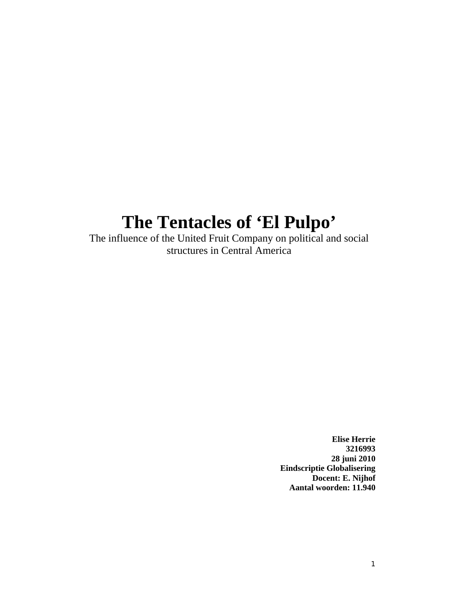# **The Tentacles of 'El Pulpo'**

The influence of the United Fruit Company on political and social structures in Central America

> **Elise Herrie 3216993 28 juni 2010 Eindscriptie Globalisering Docent: E. Nijhof Aantal woorden: 11.940**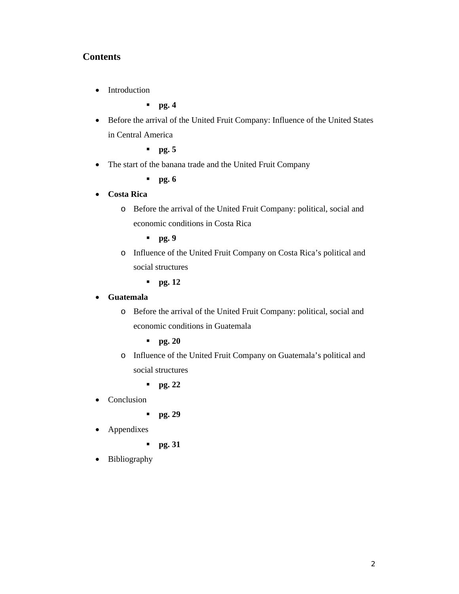## **Contents**

• Introduction

**pg. 4**

- Before the arrival of the United Fruit Company: Influence of the United States in Central America
	- **pg. 5**
- The start of the banana trade and the United Fruit Company
	- **pg. 6**

#### **Costa Rica**

- o Before the arrival of the United Fruit Company: political, social and economic conditions in Costa Rica
	- **pg. 9**
- o Influence of the United Fruit Company on Costa Rica's political and social structures
	- **pg. 12**

#### **Guatemala**

- o Before the arrival of the United Fruit Company: political, social and economic conditions in Guatemala
	- **pg. 20**
- o Influence of the United Fruit Company on Guatemala's political and social structures
	- **pg. 22**
- Conclusion
	- **pg. 29**
- Appendixes
	- **pg. 31**
- Bibliography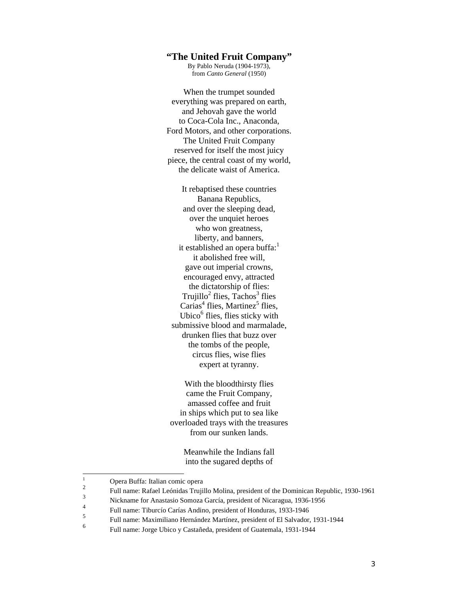### **"The United Fruit Company"**

By Pablo Neruda (1904-1973), from *Canto General* (1950)

When the trumpet sounded everything was prepared on earth, and Jehovah gave the world to Coca-Cola Inc., Anaconda, Ford Motors, and other corporations. The United Fruit Company reserved for itself the most juicy piece, the central coast of my world, the delicate waist of America.

It rebaptised these countries Banana Republics, and over the sleeping dead, over the unquiet heroes who won greatness, liberty, and banners, it established an opera buffa:<sup>1</sup> it abolished free will, gave out imperial crowns, encouraged envy, attracted the dictatorship of flies:  $Tru$  jillo<sup>2</sup> flies,  $Tachos<sup>3</sup>$  flies  $Carias<sup>4</sup>$  flies, Martinez<sup>5</sup> flies, Ubico<sup>6</sup> flies, flies sticky with submissive blood and marmalade, drunken flies that buzz over the tombs of the people, circus flies, wise flies expert at tyranny.

With the bloodthirsty flies came the Fruit Company, amassed coffee and fruit in ships which put to sea like overloaded trays with the treasures from our sunken lands.

> Meanwhile the Indians fall into the sugared depths of

 $\mathbf{1}$  $\frac{1}{2}$  Opera Buffa: Italian comic opera

<sup>&</sup>lt;sup>2</sup> Full name: Rafael Leónidas Trujillo Molina, president of the Dominican Republic, 1930-1961

<sup>&</sup>lt;sup>3</sup><br>Nickname for Anastasio Somoza García, president of Nicaragua, 1936-1956

<sup>&</sup>lt;sup>4</sup><br>
Full name: Tiburcío Carías Andino, president of Honduras, 1933-1946

<sup>&</sup>lt;sup>5</sup> Full name: Maximiliano Hernández Martínez, president of El Salvador, 1931-1944

<sup>6</sup> Full name: Jorge Ubico y Castañeda, president of Guatemala, 1931-1944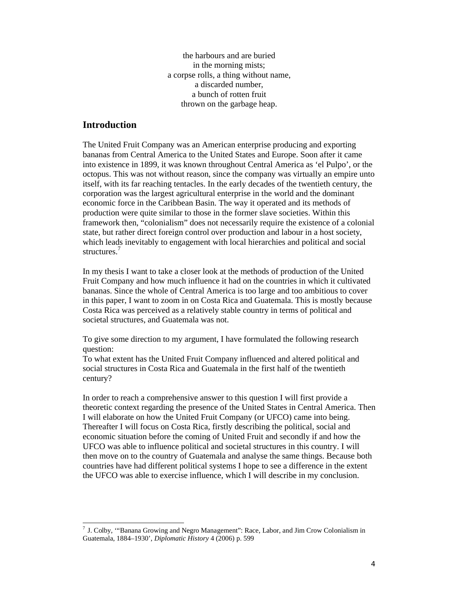the harbours and are buried in the morning mists; a corpse rolls, a thing without name, a discarded number, a bunch of rotten fruit thrown on the garbage heap.

#### **Introduction**

 $\overline{a}$ 

The United Fruit Company was an American enterprise producing and exporting bananas from Central America to the United States and Europe. Soon after it came into existence in 1899, it was known throughout Central America as 'el Pulpo', or the octopus. This was not without reason, since the company was virtually an empire unto itself, with its far reaching tentacles. In the early decades of the twentieth century, the corporation was the largest agricultural enterprise in the world and the dominant economic force in the Caribbean Basin. The way it operated and its methods of production were quite similar to those in the former slave societies. Within this framework then, "colonialism" does not necessarily require the existence of a colonial state, but rather direct foreign control over production and labour in a host society, which leads inevitably to engagement with local hierarchies and political and social structures<sup>7</sup>

In my thesis I want to take a closer look at the methods of production of the United Fruit Company and how much influence it had on the countries in which it cultivated bananas. Since the whole of Central America is too large and too ambitious to cover in this paper, I want to zoom in on Costa Rica and Guatemala. This is mostly because Costa Rica was perceived as a relatively stable country in terms of political and societal structures, and Guatemala was not.

To give some direction to my argument, I have formulated the following research question:

To what extent has the United Fruit Company influenced and altered political and social structures in Costa Rica and Guatemala in the first half of the twentieth century?

In order to reach a comprehensive answer to this question I will first provide a theoretic context regarding the presence of the United States in Central America. Then I will elaborate on how the United Fruit Company (or UFCO) came into being. Thereafter I will focus on Costa Rica, firstly describing the political, social and economic situation before the coming of United Fruit and secondly if and how the UFCO was able to influence political and societal structures in this country. I will then move on to the country of Guatemala and analyse the same things. Because both countries have had different political systems I hope to see a difference in the extent the UFCO was able to exercise influence, which I will describe in my conclusion.

 $7$  J. Colby, "Banana Growing and Negro Management": Race, Labor, and Jim Crow Colonialism in Guatemala, 1884–1930', *Diplomatic History* 4 (2006) p. 599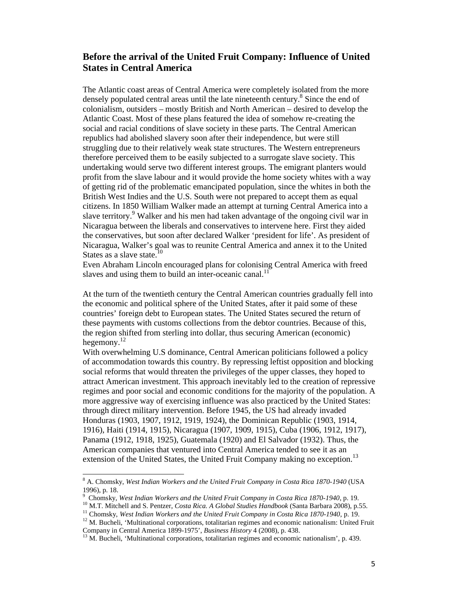# **Before the arrival of the United Fruit Company: Influence of United States in Central America**

The Atlantic coast areas of Central America were completely isolated from the more densely populated central areas until the late nineteenth century.<sup>8</sup> Since the end of colonialism, outsiders – mostly British and North American – desired to develop the Atlantic Coast. Most of these plans featured the idea of somehow re-creating the social and racial conditions of slave society in these parts. The Central American republics had abolished slavery soon after their independence, but were still struggling due to their relatively weak state structures. The Western entrepreneurs therefore perceived them to be easily subjected to a surrogate slave society. This undertaking would serve two different interest groups. The emigrant planters would profit from the slave labour and it would provide the home society whites with a way of getting rid of the problematic emancipated population, since the whites in both the British West Indies and the U.S. South were not prepared to accept them as equal citizens. In 1850 William Walker made an attempt at turning Central America into a slave territory.<sup>9</sup> Walker and his men had taken advantage of the ongoing civil war in Nicaragua between the liberals and conservatives to intervene here. First they aided the conservatives, but soon after declared Walker 'president for life'. As president of Nicaragua, Walker's goal was to reunite Central America and annex it to the United States as a slave state. $10$ 

Even Abraham Lincoln encouraged plans for colonising Central America with freed slaves and using them to build an inter-oceanic canal. $^{11}$ 

At the turn of the twentieth century the Central American countries gradually fell into the economic and political sphere of the United States, after it paid some of these countries' foreign debt to European states. The United States secured the return of these payments with customs collections from the debtor countries. Because of this, the region shifted from sterling into dollar, thus securing American (economic) hegemony. $^{12}$ 

With overwhelming U.S dominance, Central American politicians followed a policy of accommodation towards this country. By repressing leftist opposition and blocking social reforms that would threaten the privileges of the upper classes, they hoped to attract American investment. This approach inevitably led to the creation of repressive regimes and poor social and economic conditions for the majority of the population. A more aggressive way of exercising influence was also practiced by the United States: through direct military intervention. Before 1945, the US had already invaded Honduras (1903, 1907, 1912, 1919, 1924), the Dominican Republic (1903, 1914, 1916), Haiti (1914, 1915), Nicaragua (1907, 1909, 1915), Cuba (1906, 1912, 1917), Panama (1912, 1918, 1925), Guatemala (1920) and El Salvador (1932). Thus, the American companies that ventured into Central America tended to see it as an extension of the United States, the United Fruit Company making no exception.<sup>13</sup>

 $\overline{a}$ 

<sup>8</sup> A. Chomsky, *West Indian Workers and the United Fruit Company in Costa Rica 1870-1940* (USA 1996), p. 18.

<sup>&</sup>lt;sup>9</sup> Chomsky, West Indian Workers and the United Fruit Company in Costa Rica 1870-1940, p. 19.

<sup>&</sup>lt;sup>10</sup> M.T. Mitchell and S. Pentzer, *Costa Rica. A Global Studies Handbook* (Santa Barbara 2008), p.55.<br><sup>11</sup> Chomsky, *West Indian Workers and the United Fruit Company in Costa Rica 1870-1940*, p. 19.<br><sup>12</sup> M. Bucheli, 'Mul

<sup>&</sup>lt;sup>13</sup> M. Bucheli, 'Multinational corporations, totalitarian regimes and economic nationalism', p. 439.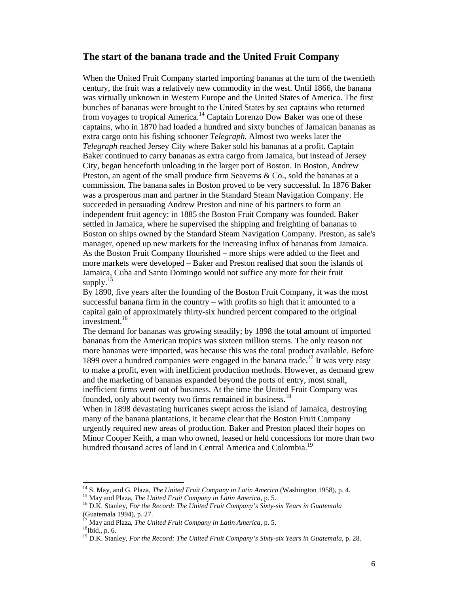#### **The start of the banana trade and the United Fruit Company**

When the United Fruit Company started importing bananas at the turn of the twentieth century, the fruit was a relatively new commodity in the west. Until 1866, the banana was virtually unknown in Western Europe and the United States of America. The first bunches of bananas were brought to the United States by sea captains who returned from voyages to tropical America.<sup>14</sup> Captain Lorenzo Dow Baker was one of these captains, who in 1870 had loaded a hundred and sixty bunches of Jamaican bananas as extra cargo onto his fishing schooner *Telegraph.* Almost two weeks later the *Telegraph* reached Jersey City where Baker sold his bananas at a profit. Captain Baker continued to carry bananas as extra cargo from Jamaica, but instead of Jersey City, began henceforth unloading in the larger port of Boston. In Boston, Andrew Preston, an agent of the small produce firm Seaverns & Co., sold the bananas at a commission. The banana sales in Boston proved to be very successful. In 1876 Baker was a prosperous man and partner in the Standard Steam Navigation Company. He succeeded in persuading Andrew Preston and nine of his partners to form an independent fruit agency: in 1885 the Boston Fruit Company was founded. Baker settled in Jamaica, where he supervised the shipping and freighting of bananas to Boston on ships owned by the Standard Steam Navigation Company. Preston, as sale's manager, opened up new markets for the increasing influx of bananas from Jamaica. As the Boston Fruit Company flourished **–** more ships were added to the fleet and more markets were developed – Baker and Preston realised that soon the islands of Jamaica, Cuba and Santo Domingo would not suffice any more for their fruit supply. $15$ 

By 1890, five years after the founding of the Boston Fruit Company, it was the most successful banana firm in the country – with profits so high that it amounted to a capital gain of approximately thirty-six hundred percent compared to the original investment.16

The demand for bananas was growing steadily; by 1898 the total amount of imported bananas from the American tropics was sixteen million stems. The only reason not more bananas were imported, was because this was the total product available. Before 1899 over a hundred companies were engaged in the banana trade.<sup>17</sup> It was very easy to make a profit, even with inefficient production methods. However, as demand grew and the marketing of bananas expanded beyond the ports of entry, most small, inefficient firms went out of business. At the time the United Fruit Company was founded, only about twenty two firms remained in business.<sup>18</sup>

When in 1898 devastating hurricanes swept across the island of Jamaica, destroying many of the banana plantations, it became clear that the Boston Fruit Company urgently required new areas of production. Baker and Preston placed their hopes on Minor Cooper Keith, a man who owned, leased or held concessions for more than two hundred thousand acres of land in Central America and Colombia.<sup>19</sup>

j

<sup>&</sup>lt;sup>14</sup> S. May, and G. Plaza, *The United Fruit Company in Latin America* (Washington 1958), p. 4.<br><sup>15</sup> May and Plaza, *The United Fruit Company in Latin America*, p. 5.<br><sup>16</sup> D.K. Stanley, *For the Record: The United Fruit C* 

<sup>(</sup>Guatemala 1994), p. 27.

<sup>&</sup>lt;sup>17</sup> May and Plaza, *The United Fruit Company in Latin America*, p. 5.<br><sup>18</sup>Ibid., p. 6.

<sup>&</sup>lt;sup>19</sup> D.K. Stanley, For the Record: The United Fruit Company's Sixty-six Years in Guatemala, p. 28.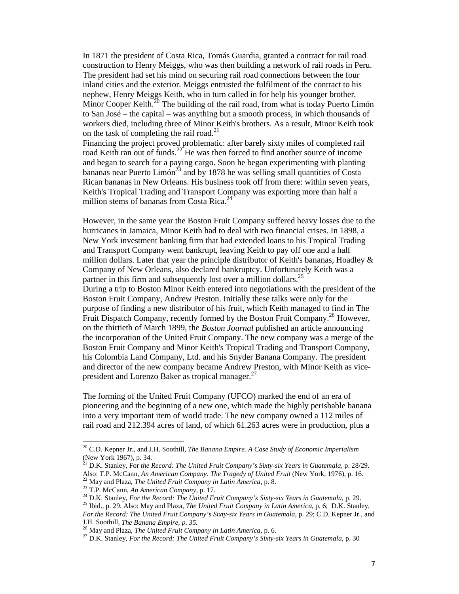In 1871 the president of Costa Rica, Tomás Guardia, granted a contract for rail road construction to Henry Meiggs, who was then building a network of rail roads in Peru. The president had set his mind on securing rail road connections between the four inland cities and the exterior. Meiggs entrusted the fulfilment of the contract to his nephew, Henry Meiggs Keith, who in turn called in for help his younger brother, Minor Cooper Keith.<sup>20</sup> The building of the rail road, from what is today Puerto Limón to San José – the capital – was anything but a smooth process, in which thousands of workers died, including three of Minor Keith's brothers. As a result, Minor Keith took on the task of completing the rail road.<sup>21</sup>

Financing the project proved problematic: after barely sixty miles of completed rail road Keith ran out of funds.<sup>22</sup> He was then forced to find another source of income and began to search for a paying cargo. Soon he began experimenting with planting bananas near Puerto Limón<sup>23</sup> and by 1878 he was selling small quantities of Costa Rican bananas in New Orleans. His business took off from there: within seven years, Keith's Tropical Trading and Transport Company was exporting more than half a million stems of bananas from Costa Rica.<sup>24</sup>

However, in the same year the Boston Fruit Company suffered heavy losses due to the hurricanes in Jamaica, Minor Keith had to deal with two financial crises. In 1898, a New York investment banking firm that had extended loans to his Tropical Trading and Transport Company went bankrupt, leaving Keith to pay off one and a half million dollars. Later that year the principle distributor of Keith's bananas, Hoadley  $\&$ Company of New Orleans, also declared bankruptcy. Unfortunately Keith was a partner in this firm and subsequently lost over a million dollars.<sup>25</sup> During a trip to Boston Minor Keith entered into negotiations with the president of the Boston Fruit Company, Andrew Preston. Initially these talks were only for the purpose of finding a new distributor of his fruit, which Keith managed to find in The Fruit Dispatch Company, recently formed by the Boston Fruit Company.<sup>26</sup> However, on the thirtieth of March 1899, the *Boston Journal* published an article announcing the incorporation of the United Fruit Company. The new company was a merge of the Boston Fruit Company and Minor Keith's Tropical Trading and Transport Company, his Colombia Land Company, Ltd. and his Snyder Banana Company. The president and director of the new company became Andrew Preston, with Minor Keith as vicepresident and Lorenzo Baker as tropical manager.<sup>27</sup>

The forming of the United Fruit Company (UFCO) marked the end of an era of pioneering and the beginning of a new one, which made the highly perishable banana into a very important item of world trade. The new company owned a 112 miles of rail road and 212.394 acres of land, of which 61.263 acres were in production, plus a

j

<sup>20</sup> C.D. Kepner Jr., and J.H. Soothill, *The Banana Empire. A Case Study of Economic Imperialism* (New York 1967), p. 34.

<sup>&</sup>lt;sup>21</sup> D.K. Stanley, For the Record: The United Fruit Company's Sixty-six Years in Guatemala, p. 28/29. Also: T.P. McCann, An American Company. The Tragedy of United Fruit (New York, 1976), p. 16.<br><sup>22</sup> May and Plaza, *The United Fruit Company in Latin America*, p. 8.<br><sup>23</sup> T.P. McCann, An American Company, p. 17.<br><sup>24</sup> D.K. St

*For the Record: The United Fruit Company's Sixty-six Years in Guatemala, p.* 29; C.D. Kepner Jr., and J.H. Soothill, *The Banana Empire, p. 35.*<br><sup>26</sup> May and Plaza, *The United Fruit Company in Latin America*, p. 6.<br><sup>27</sup> D.K. Stanley, *For the Record: The United Fruit Company's Sixty-six Years in Guatemala*, p. 30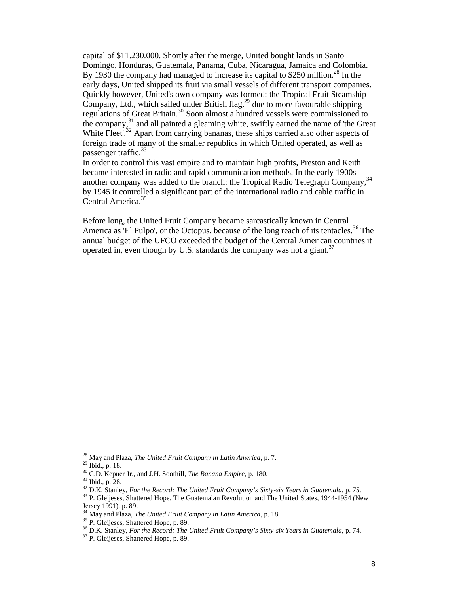capital of \$11.230.000. Shortly after the merge, United bought lands in Santo Domingo, Honduras, Guatemala, Panama, Cuba, Nicaragua, Jamaica and Colombia. By 1930 the company had managed to increase its capital to \$250 million.<sup>28</sup> In the early days, United shipped its fruit via small vessels of different transport companies. Quickly however, United's own company was formed: the Tropical Fruit Steamship Company, Ltd., which sailed under British flag,  $^{29}$  due to more favourable shipping regulations of Great Britain.<sup>30</sup> Soon almost a hundred vessels were commissioned to the company,<sup>31</sup> and all painted a gleaming white, swiftly earned the name of 'the Great White Fleet'.<sup>32</sup> Apart from carrying bananas, these ships carried also other aspects of foreign trade of many of the smaller republics in which United operated, as well as passenger traffic.<sup>33</sup>

In order to control this vast empire and to maintain high profits, Preston and Keith became interested in radio and rapid communication methods. In the early 1900s another company was added to the branch: the Tropical Radio Telegraph Company, 34 by 1945 it controlled a significant part of the international radio and cable traffic in Central America.<sup>35</sup>

Before long, the United Fruit Company became sarcastically known in Central America as 'El Pulpo', or the Octopus, because of the long reach of its tentacles.<sup>36</sup> The annual budget of the UFCO exceeded the budget of the Central American countries it operated in, even though by U.S. standards the company was not a giant.<sup>37</sup>

<sup>&</sup>lt;sup>28</sup> May and Plaza, *The United Fruit Company in Latin America*, p. 7.

<sup>&</sup>lt;sup>29</sup> Ibid., p. 18.<br><sup>30</sup> C.D. Kepner Jr., and J.H. Soothill, *The Banana Empire*, p. 180.<br><sup>31</sup> Ibid., p. 28.<br><sup>32</sup> D.K. Stanley, *For the Record: The United Fruit Company's Sixty-six Years in Guatemala*, p. 75.<br><sup>33</sup> P. Glei

Jersey 1991), p. 89.<br><sup>34</sup> May and Plaza, *The United Fruit Company in Latin America*, p. 18.

<sup>&</sup>lt;sup>35</sup> P. Gleijeses, Shattered Hope, p. 89.<br><sup>36</sup> D.K. Stanley, *For the Record: The United Fruit Company's Sixty-six Years in Guatemala*, p. 74.<br><sup>37</sup> P. Gleijeses, Shattered Hope, p. 89.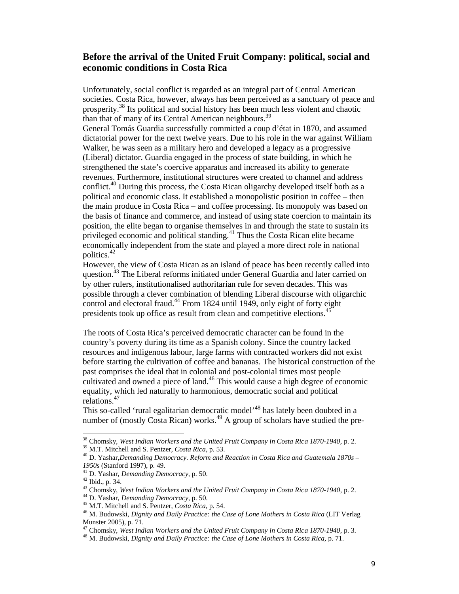## **Before the arrival of the United Fruit Company: political, social and economic conditions in Costa Rica**

Unfortunately, social conflict is regarded as an integral part of Central American societies. Costa Rica, however, always has been perceived as a sanctuary of peace and prosperity.<sup>38</sup> Its political and social history has been much less violent and chaotic than that of many of its Central American neighbours.<sup>39</sup>

General Tomás Guardia successfully committed a coup d'état in 1870, and assumed dictatorial power for the next twelve years. Due to his role in the war against William Walker, he was seen as a military hero and developed a legacy as a progressive (Liberal) dictator. Guardia engaged in the process of state building, in which he strengthened the state's coercive apparatus and increased its ability to generate revenues. Furthermore, institutional structures were created to channel and address conflict.<sup>40</sup> During this process, the Costa Rican oligarchy developed itself both as a political and economic class. It established a monopolistic position in coffee – then the main produce in Costa Rica – and coffee processing. Its monopoly was based on the basis of finance and commerce, and instead of using state coercion to maintain its position, the elite began to organise themselves in and through the state to sustain its privileged economic and political standing.<sup>41</sup> Thus the Costa Rican elite became economically independent from the state and played a more direct role in national politics.42

However, the view of Costa Rican as an island of peace has been recently called into question.<sup>43</sup> The Liberal reforms initiated under General Guardia and later carried on by other rulers, institutionalised authoritarian rule for seven decades. This was possible through a clever combination of blending Liberal discourse with oligarchic control and electoral fraud.<sup>44</sup> From 1824 until 1949, only eight of forty eight presidents took up office as result from clean and competitive elections.<sup>45</sup>

The roots of Costa Rica's perceived democratic character can be found in the country's poverty during its time as a Spanish colony. Since the country lacked resources and indigenous labour, large farms with contracted workers did not exist before starting the cultivation of coffee and bananas. The historical construction of the past comprises the ideal that in colonial and post-colonial times most people cultivated and owned a piece of land.<sup>46</sup> This would cause a high degree of economic equality, which led naturally to harmonious, democratic social and political relations.47

This so-called 'rural egalitarian democratic model'<sup>48</sup> has lately been doubted in a number of (mostly Costa Rican) works.<sup>49</sup> A group of scholars have studied the pre-

 $\overline{a}$ 

<sup>&</sup>lt;sup>38</sup> Chomsky, West Indian Workers and the United Fruit Company in Costa Rica 1870-1940, p. 2.<br><sup>39</sup> M.T. Mitchell and S. Pentzer, *Costa Rica*, p. 53.<br><sup>40</sup> D. Yashar,*Demanding Democracy. Reform and Reaction in Costa Rica a* 

<sup>1950</sup>s (Stanford 1997), p. 49.<br>
<sup>41</sup> D. Yashar, *Demanding Democracy*, p. 50.<br>
<sup>42</sup> Ibid., p. 34.<br>
<sup>43</sup> Chomsky, *West Indian Workers and the United Fruit Company in Costa Rica 1870-1940*, p. 2.<br>
<sup>44</sup> D. Yashar, *Demanding* 

Munster 2005), p. 71.<br><sup>47</sup> Chomsky, *West Indian Workers and the United Fruit Company in Costa Rica 1870-1940*, p. 3.

<sup>&</sup>lt;sup>48</sup> M. Budowski, *Dignity and Daily Practice: the Case of Lone Mothers in Costa Rica*, p. 71.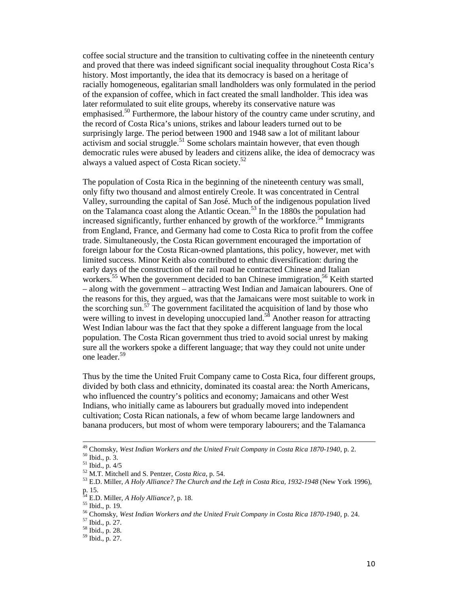coffee social structure and the transition to cultivating coffee in the nineteenth century and proved that there was indeed significant social inequality throughout Costa Rica's history. Most importantly, the idea that its democracy is based on a heritage of racially homogeneous, egalitarian small landholders was only formulated in the period of the expansion of coffee, which in fact created the small landholder. This idea was later reformulated to suit elite groups, whereby its conservative nature was emphasised.<sup>50</sup> Furthermore, the labour history of the country came under scrutiny, and the record of Costa Rica's unions, strikes and labour leaders turned out to be surprisingly large. The period between 1900 and 1948 saw a lot of militant labour activism and social struggle.<sup>51</sup> Some scholars maintain however, that even though democratic rules were abused by leaders and citizens alike, the idea of democracy was always a valued aspect of Costa Rican society.<sup>52</sup>

The population of Costa Rica in the beginning of the nineteenth century was small, only fifty two thousand and almost entirely Creole. It was concentrated in Central Valley, surrounding the capital of San José. Much of the indigenous population lived on the Talamanca coast along the Atlantic Ocean.<sup>53</sup> In the 1880s the population had increased significantly, further enhanced by growth of the workforce.<sup>54</sup> Immigrants from England, France, and Germany had come to Costa Rica to profit from the coffee trade. Simultaneously, the Costa Rican government encouraged the importation of foreign labour for the Costa Rican-owned plantations, this policy, however, met with limited success. Minor Keith also contributed to ethnic diversification: during the early days of the construction of the rail road he contracted Chinese and Italian workers.<sup>55</sup> When the government decided to ban Chinese immigration,<sup>56</sup> Keith started – along with the government – attracting West Indian and Jamaican labourers. One of the reasons for this, they argued, was that the Jamaicans were most suitable to work in the scorching sun.<sup>57</sup> The government facilitated the acquisition of land by those who were willing to invest in developing unoccupied land.<sup>58</sup> Another reason for attracting West Indian labour was the fact that they spoke a different language from the local population. The Costa Rican government thus tried to avoid social unrest by making sure all the workers spoke a different language; that way they could not unite under one leader.<sup>59</sup>

Thus by the time the United Fruit Company came to Costa Rica, four different groups, divided by both class and ethnicity, dominated its coastal area: the North Americans, who influenced the country's politics and economy; Jamaicans and other West Indians, who initially came as labourers but gradually moved into independent cultivation; Costa Rican nationals, a few of whom became large landowners and banana producers, but most of whom were temporary labourers; and the Talamanca

j

<sup>&</sup>lt;sup>49</sup> Chomsky, *West Indian Workers and the United Fruit Company in Costa Rica 1870-1940*, p. 2.<br><sup>50</sup> Ibid., p. 3.<br><sup>51</sup> Ibid., p. 4/5<br><sup>52</sup> M.T. Mitchell and S. Pentzer, *Costa Rica*, p. 54.<br><sup>53</sup> E.D. Miller, *A Holy Allianc* p. 15.<br><sup>54</sup> E.D. Miller, *A Holy Alliance?*, p. 18.

<sup>&</sup>lt;sup>55</sup> Ibid., p. 19.<br><sup>56</sup> Chomsky, *West Indian Workers and the United Fruit Company in Costa Rica 1870-1940*, p. 24.<br><sup>57</sup> Ibid., p. 27.<br><sup>58</sup> Ibid., p. 27.<br><sup>59</sup> Ibid., p. 27.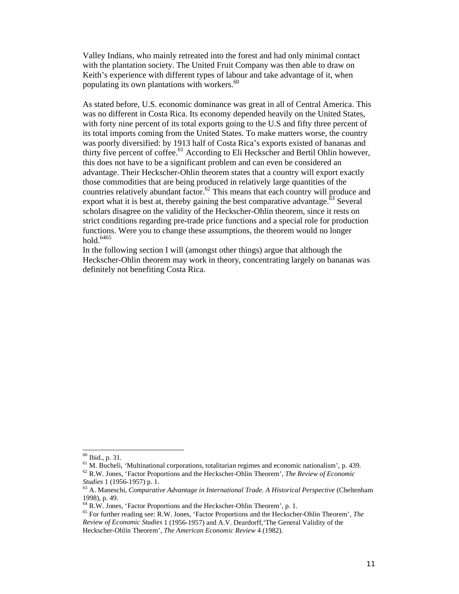Valley Indians, who mainly retreated into the forest and had only minimal contact with the plantation society. The United Fruit Company was then able to draw on Keith's experience with different types of labour and take advantage of it, when populating its own plantations with workers.<sup>60</sup>

As stated before, U.S. economic dominance was great in all of Central America. This was no different in Costa Rica. Its economy depended heavily on the United States, with forty nine percent of its total exports going to the U.S and fifty three percent of its total imports coming from the United States. To make matters worse, the country was poorly diversified: by 1913 half of Costa Rica's exports existed of bananas and thirty five percent of coffee.<sup>61</sup> According to Eli Heckscher and Bertil Ohlin however, this does not have to be a significant problem and can even be considered an advantage. Their Heckscher-Ohlin theorem states that a country will export exactly those commodities that are being produced in relatively large quantities of the countries relatively abundant factor.<sup>62</sup> This means that each country will produce and export what it is best at, thereby gaining the best comparative advantage.<sup> $63$ </sup> Several scholars disagree on the validity of the Heckscher-Ohlin theorem, since it rests on strict conditions regarding pre-trade price functions and a special role for production functions. Were you to change these assumptions, the theorem would no longer hold  $6465$ 

In the following section I will (amongst other things) argue that although the Heckscher-Ohlin theorem may work in theory, concentrating largely on bananas was definitely not benefiting Costa Rica.

 $60$  Ibid., p. 31.

<sup>&</sup>lt;sup>61</sup> M. Bucheli, 'Multinational corporations, totalitarian regimes and economic nationalism', p. 439.  $^{62}$  R.W. Jones, 'Factor Proportions and the Heckscher-Ohlin Theorem', *The Review of Economic* 

*Studies* 1 (1956-1957) p. 1. <sup>63</sup> A. Maneschi, *Comparative Advantage in International Trade. A Historical Perspective* (Cheltenham

<sup>1998),</sup> p. 49.<br><sup>64</sup> R.W. Jones, 'Factor Proportions and the Heckscher-Ohlin Theorem', p. 1.

<sup>&</sup>lt;sup>65</sup> For further reading see: R.W. Jones, 'Factor Proportions and the Heckscher-Ohlin Theorem', *The Review of Economic Studies* 1 (1956-1957) and A.V. Deardorff,'The General Validity of the Heckscher-Ohlin Theorem', *The American Economic Review* 4 (1982).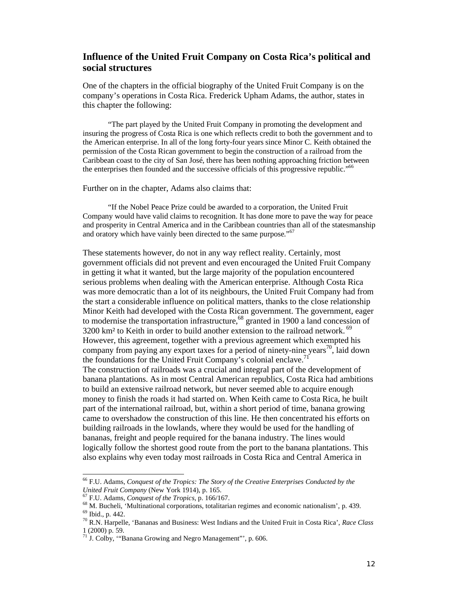### **Influence of the United Fruit Company on Costa Rica's political and social structures**

One of the chapters in the official biography of the United Fruit Company is on the company's operations in Costa Rica. Frederick Upham Adams, the author, states in this chapter the following:

"The part played by the United Fruit Company in promoting the development and insuring the progress of Costa Rica is one which reflects credit to both the government and to the American enterprise. In all of the long forty-four years since Minor C. Keith obtained the permission of the Costa Rican government to begin the construction of a railroad from the Caribbean coast to the city of San José, there has been nothing approaching friction between the enterprises then founded and the successive officials of this progressive republic."<sup>66</sup>

Further on in the chapter, Adams also claims that:

"If the Nobel Peace Prize could be awarded to a corporation, the United Fruit Company would have valid claims to recognition. It has done more to pave the way for peace and prosperity in Central America and in the Caribbean countries than all of the statesmanship and oratory which have vainly been directed to the same purpose."<sup>67</sup>

These statements however, do not in any way reflect reality. Certainly, most government officials did not prevent and even encouraged the United Fruit Company in getting it what it wanted, but the large majority of the population encountered serious problems when dealing with the American enterprise. Although Costa Rica was more democratic than a lot of its neighbours, the United Fruit Company had from the start a considerable influence on political matters, thanks to the close relationship Minor Keith had developed with the Costa Rican government. The government, eager to modernise the transportation infrastructure,<sup>68</sup> granted in 1900 a land concession of  $3200 \text{ km}^2$  to Keith in order to build another extension to the railroad network. <sup>69</sup> However, this agreement, together with a previous agreement which exempted his company from paying any export taxes for a period of ninety-nine years<sup>70</sup>, laid down the foundations for the United Fruit Company's colonial enclave.<sup>71</sup> The construction of railroads was a crucial and integral part of the development of banana plantations. As in most Central American republics, Costa Rica had ambitions to build an extensive railroad network, but never seemed able to acquire enough money to finish the roads it had started on. When Keith came to Costa Rica, he built part of the international railroad, but, within a short period of time, banana growing came to overshadow the construction of this line. He then concentrated his efforts on building railroads in the lowlands, where they would be used for the handling of bananas, freight and people required for the banana industry. The lines would logically follow the shortest good route from the port to the banana plantations. This also explains why even today most railroads in Costa Rica and Central America in

 $\overline{a}$ 

<sup>66</sup> F.U. Adams, *Conquest of the Tropics: The Story of the Creative Enterprises Conducted by the* 

United Fruit Company (New York 1914), p. 165.<br>
<sup>67</sup> F.U. Adams, *Conquest of the Tropics*, p. 166/167.<br>
<sup>68</sup> M. Bucheli, 'Multinational corporations, totalitarian regimes and economic nationalism', p. 439.<br>
<sup>69</sup> Ibid., p.

<sup>1 (2000)</sup> p. 59.

 $71$  J. Colby, "Banana Growing and Negro Management", p. 606.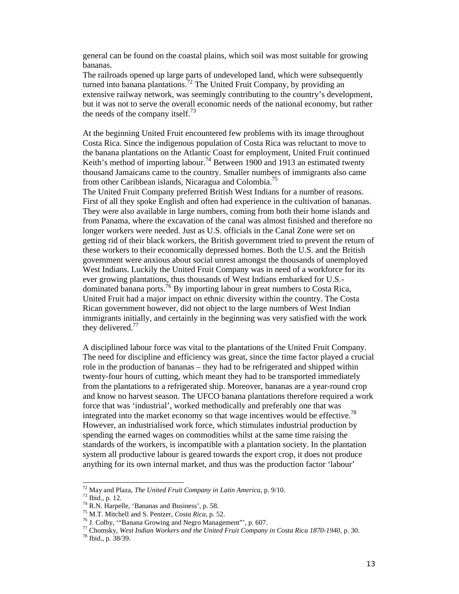general can be found on the coastal plains, which soil was most suitable for growing bananas.

The railroads opened up large parts of undeveloped land, which were subsequently turned into banana plantations.<sup>72</sup> The United Fruit Company, by providing an extensive railway network, was seemingly contributing to the country's development, but it was not to serve the overall economic needs of the national economy, but rather the needs of the company itself.<sup>73</sup>

At the beginning United Fruit encountered few problems with its image throughout Costa Rica. Since the indigenous population of Costa Rica was reluctant to move to the banana plantations on the Atlantic Coast for employment, United Fruit continued Keith's method of importing labour.<sup>74</sup> Between 1900 and 1913 an estimated twenty thousand Jamaicans came to the country. Smaller numbers of immigrants also came from other Caribbean islands, Nicaragua and Colombia.<sup>75</sup>

The United Fruit Company preferred British West Indians for a number of reasons. First of all they spoke English and often had experience in the cultivation of bananas. They were also available in large numbers, coming from both their home islands and from Panama, where the excavation of the canal was almost finished and therefore no longer workers were needed. Just as U.S. officials in the Canal Zone were set on getting rid of their black workers, the British government tried to prevent the return of these workers to their economically depressed homes. Both the U.S. and the British government were anxious about social unrest amongst the thousands of unemployed West Indians. Luckily the United Fruit Company was in need of a workforce for its ever growing plantations, thus thousands of West Indians embarked for U.S. dominated banana ports.<sup>76</sup> By importing labour in great numbers to Costa Rica, United Fruit had a major impact on ethnic diversity within the country. The Costa Rican government however, did not object to the large numbers of West Indian immigrants initially, and certainly in the beginning was very satisfied with the work they delivered. $77$ 

A disciplined labour force was vital to the plantations of the United Fruit Company. The need for discipline and efficiency was great, since the time factor played a crucial role in the production of bananas – they had to be refrigerated and shipped within twenty-four hours of cutting, which meant they had to be transported immediately from the plantations to a refrigerated ship. Moreover, bananas are a year-round crop and know no harvest season. The UFCO banana plantations therefore required a work force that was 'industrial', worked methodically and preferably one that was integrated into the market economy so that wage incentives would be effective.<sup>78</sup> However, an industrialised work force, which stimulates industrial production by spending the earned wages on commodities whilst at the same time raising the standards of the workers, is incompatible with a plantation society. In the plantation system all productive labour is geared towards the export crop, it does not produce anything for its own internal market, and thus was the production factor 'labour'

 $^{72}$  May and Plaza, The United Fruit Company in Latin America, p. 9/10.

<sup>&</sup>lt;sup>73</sup> Ibid., p. 12.<br>
<sup>74</sup> R.N. Harpelle, 'Bananas and Business', p. 58.<br>
<sup>75</sup> M.T. Mitchell and S. Pentzer, *Costa Rica*, p. 52.<br>
<sup>76</sup> J. Colby, "Banana Growing and Negro Management", p. 607.<br>
<sup>77</sup> Chomsky, *West Indian Wo*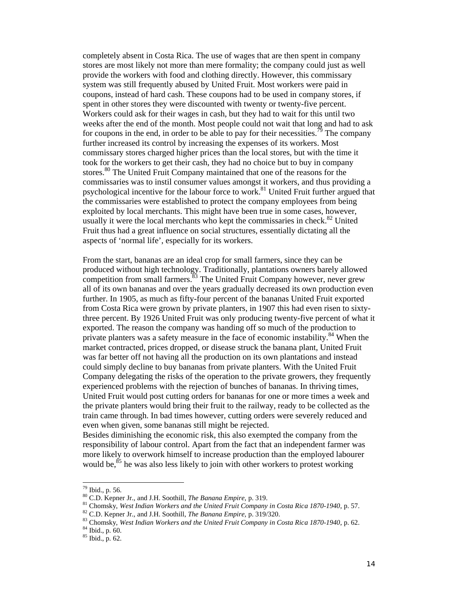completely absent in Costa Rica. The use of wages that are then spent in company stores are most likely not more than mere formality; the company could just as well provide the workers with food and clothing directly. However, this commissary system was still frequently abused by United Fruit. Most workers were paid in coupons, instead of hard cash. These coupons had to be used in company stores, if spent in other stores they were discounted with twenty or twenty-five percent. Workers could ask for their wages in cash, but they had to wait for this until two weeks after the end of the month. Most people could not wait that long and had to ask for coupons in the end, in order to be able to pay for their necessities.<sup>79</sup> The company further increased its control by increasing the expenses of its workers. Most commissary stores charged higher prices than the local stores, but with the time it took for the workers to get their cash, they had no choice but to buy in company stores.<sup>80</sup> The United Fruit Company maintained that one of the reasons for the commissaries was to instil consumer values amongst it workers, and thus providing a psychological incentive for the labour force to work.<sup>81</sup> United Fruit further argued that the commissaries were established to protect the company employees from being exploited by local merchants. This might have been true in some cases, however, usually it were the local merchants who kept the commissaries in check.<sup>82</sup> United Fruit thus had a great influence on social structures, essentially dictating all the aspects of 'normal life', especially for its workers.

From the start, bananas are an ideal crop for small farmers, since they can be produced without high technology. Traditionally, plantations owners barely allowed competition from small farmers. $83$  The United Fruit Company however, never grew all of its own bananas and over the years gradually decreased its own production even further. In 1905, as much as fifty-four percent of the bananas United Fruit exported from Costa Rica were grown by private planters, in 1907 this had even risen to sixtythree percent. By 1926 United Fruit was only producing twenty-five percent of what it exported. The reason the company was handing off so much of the production to private planters was a safety measure in the face of economic instability.<sup>84</sup> When the market contracted, prices dropped, or disease struck the banana plant, United Fruit was far better off not having all the production on its own plantations and instead could simply decline to buy bananas from private planters. With the United Fruit Company delegating the risks of the operation to the private growers, they frequently experienced problems with the rejection of bunches of bananas. In thriving times, United Fruit would post cutting orders for bananas for one or more times a week and the private planters would bring their fruit to the railway, ready to be collected as the train came through. In bad times however, cutting orders were severely reduced and even when given, some bananas still might be rejected.

Besides diminishing the economic risk, this also exempted the company from the responsibility of labour control. Apart from the fact that an independent farmer was more likely to overwork himself to increase production than the employed labourer would be,<sup>85</sup> he was also less likely to join with other workers to protest working

<sup>&</sup>lt;sup>79</sup> Ibid., p. 56.

<sup>&</sup>lt;sup>80</sup> C.D. Kepner Jr., and J.H. Soothill, *The Banana Empire*, p. 319.<br><sup>81</sup> Chomsky, *West Indian Workers and the United Fruit Company in Costa Rica 1870-1940*, p. 57.<br><sup>82</sup> C.D. Kepner Jr., and J.H. Soothill, *The Banana E*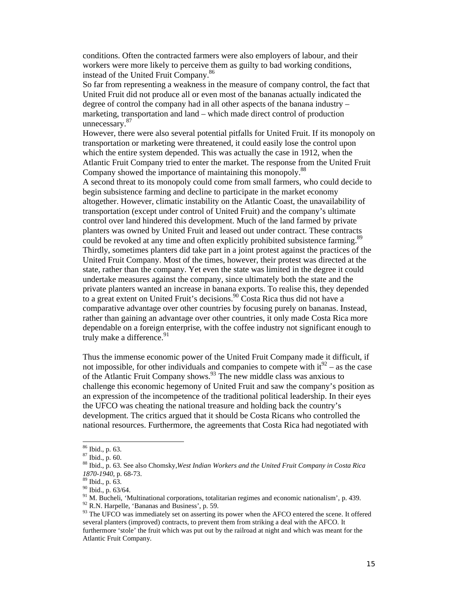conditions. Often the contracted farmers were also employers of labour, and their workers were more likely to perceive them as guilty to bad working conditions, instead of the United Fruit Company.86

So far from representing a weakness in the measure of company control, the fact that United Fruit did not produce all or even most of the bananas actually indicated the degree of control the company had in all other aspects of the banana industry – marketing, transportation and land – which made direct control of production unnecessary.<sup>87</sup>

However, there were also several potential pitfalls for United Fruit. If its monopoly on transportation or marketing were threatened, it could easily lose the control upon which the entire system depended. This was actually the case in 1912, when the Atlantic Fruit Company tried to enter the market. The response from the United Fruit Company showed the importance of maintaining this monopoly.<sup>88</sup>

A second threat to its monopoly could come from small farmers, who could decide to begin subsistence farming and decline to participate in the market economy altogether. However, climatic instability on the Atlantic Coast, the unavailability of transportation (except under control of United Fruit) and the company's ultimate control over land hindered this development. Much of the land farmed by private planters was owned by United Fruit and leased out under contract. These contracts could be revoked at any time and often explicitly prohibited subsistence farming.<sup>89</sup> Thirdly, sometimes planters did take part in a joint protest against the practices of the United Fruit Company. Most of the times, however, their protest was directed at the state, rather than the company. Yet even the state was limited in the degree it could undertake measures against the company, since ultimately both the state and the private planters wanted an increase in banana exports. To realise this, they depended to a great extent on United Fruit's decisions.<sup>90</sup> Costa Rica thus did not have a comparative advantage over other countries by focusing purely on bananas. Instead, rather than gaining an advantage over other countries, it only made Costa Rica more dependable on a foreign enterprise, with the coffee industry not significant enough to truly make a difference.<sup>91</sup>

Thus the immense economic power of the United Fruit Company made it difficult, if not impossible, for other individuals and companies to compete with  $it^{92}$  – as the case of the Atlantic Fruit Company shows.<sup>93</sup> The new middle class was anxious to challenge this economic hegemony of United Fruit and saw the company's position as an expression of the incompetence of the traditional political leadership. In their eyes the UFCO was cheating the national treasure and holding back the country's development. The critics argued that it should be Costa Ricans who controlled the national resources. Furthermore, the agreements that Costa Rica had negotiated with

<sup>&</sup>lt;sup>86</sup> Ibid., p. 63.

<sup>&</sup>lt;sup>87</sup> Ibid., p. 60.<br><sup>88</sup> Ibid., p. 63. See also Chomsky, West Indian Workers and the United Fruit Company in Costa Rica 1870-1940, p. 68-73.<br><sup>89</sup> Ibid., p. 63.<br><sup>90</sup> Ibid., p. 63/64.<br><sup>91</sup> M. Bucheli, 'Multinational corporations, totalitarian regimes and economic nationalism', p. 439.<br><sup>92</sup> R.N. Harpelle, 'Bananas and Business', p. 59.<br><sup>93</sup> T

several planters (improved) contracts, to prevent them from striking a deal with the AFCO. It furthermore 'stole' the fruit which was put out by the railroad at night and which was meant for the Atlantic Fruit Company.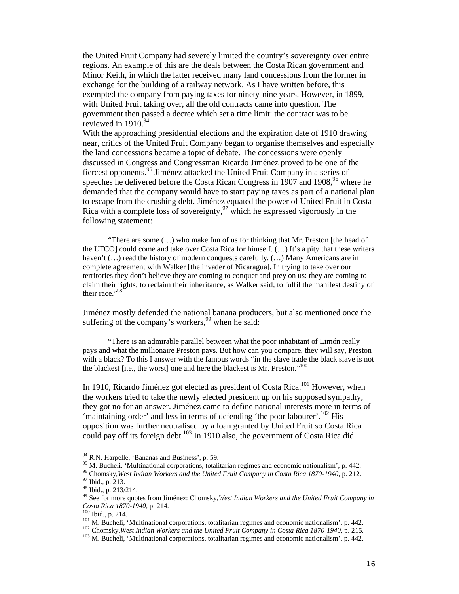the United Fruit Company had severely limited the country's sovereignty over entire regions. An example of this are the deals between the Costa Rican government and Minor Keith, in which the latter received many land concessions from the former in exchange for the building of a railway network. As I have written before, this exempted the company from paying taxes for ninety-nine years. However, in 1899, with United Fruit taking over, all the old contracts came into question. The government then passed a decree which set a time limit: the contract was to be reviewed in  $1910.^{94}$ 

With the approaching presidential elections and the expiration date of 1910 drawing near, critics of the United Fruit Company began to organise themselves and especially the land concessions became a topic of debate. The concessions were openly discussed in Congress and Congressman Ricardo Jiménez proved to be one of the fiercest opponents.95 Jiménez attacked the United Fruit Company in a series of speeches he delivered before the Costa Rican Congress in 1907 and 1908,  $96$  where he demanded that the company would have to start paying taxes as part of a national plan to escape from the crushing debt. Jiménez equated the power of United Fruit in Costa Rica with a complete loss of sovereignty,  $\frac{97}{7}$  which he expressed vigorously in the following statement:

"There are some (…) who make fun of us for thinking that Mr. Preston [the head of the UFCO] could come and take over Costa Rica for himself. (…) It's a pity that these writers haven't  $(...)$  read the history of modern conquests carefully.  $(...)$  Many Americans are in complete agreement with Walker [the invader of Nicaragua]. In trying to take over our territories they don't believe they are coming to conquer and prey on us: they are coming to claim their rights; to reclaim their inheritance, as Walker said; to fulfil the manifest destiny of their race." $98$ 

Jiménez mostly defended the national banana producers, but also mentioned once the suffering of the company's workers,  $99$  when he said:

"There is an admirable parallel between what the poor inhabitant of Limón really pays and what the millionaire Preston pays. But how can you compare, they will say, Preston with a black? To this I answer with the famous words "in the slave trade the black slave is not the blackest [i.e., the worst] one and here the blackest is Mr. Preston."<sup>100</sup>

In 1910, Ricardo Jiménez got elected as president of Costa Rica.<sup>101</sup> However, when the workers tried to take the newly elected president up on his supposed sympathy, they got no for an answer. Jiménez came to define national interests more in terms of 'maintaining order' and less in terms of defending 'the poor labourer'.<sup>102</sup> His opposition was further neutralised by a loan granted by United Fruit so Costa Rica could pay off its foreign debt.<sup>103</sup> In 1910 also, the government of Costa Rica did

<sup>&</sup>lt;sup>94</sup> R.N. Harpelle, 'Bananas and Business', p. 59.

<sup>&</sup>lt;sup>95</sup> M. Bucheli, 'Multinational corporations, totalitarian regimes and economic nationalism', p. 442.<br><sup>96</sup> Chomsky, *West Indian Workers and the United Fruit Company in Costa Rica 1870-1940*, p. 212.<br><sup>97</sup> Ibid., p. 213.<br><sup></sup>

Costa Rica 1870-1940, p. 214.<br>
<sup>100</sup> Ibid., p. 214.<br>
<sup>101</sup> M. Bucheli, 'Multinational corporations, totalitarian regimes and economic nationalism', p. 442.<br>
<sup>102</sup> Chomsky, *West Indian Workers and the United Fruit Company*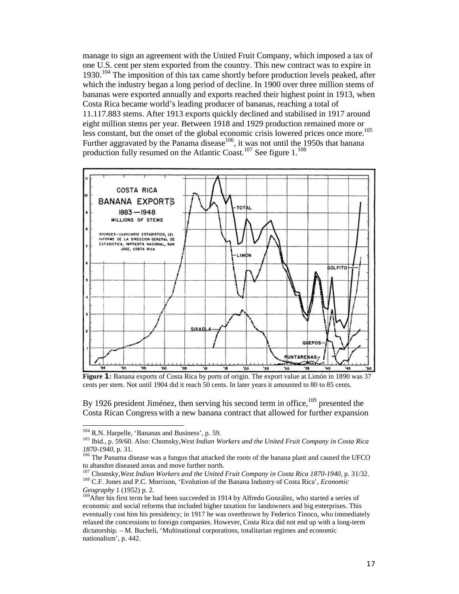manage to sign an agreement with the United Fruit Company, which imposed a tax of one U.S. cent per stem exported from the country. This new contract was to expire in 1930.<sup>104</sup> The imposition of this tax came shortly before production levels peaked, after which the industry began a long period of decline. In 1900 over three million stems of bananas were exported annually and exports reached their highest point in 1913, when Costa Rica became world's leading producer of bananas, reaching a total of 11.117.883 stems. After 1913 exports quickly declined and stabilised in 1917 around eight million stems per year. Between 1918 and 1929 production remained more or less constant, but the onset of the global economic crisis lowered prices once more.<sup>105</sup> Further aggravated by the Panama disease<sup>106</sup>, it was not until the 1950s that banana production fully resumed on the Atlantic Coast.<sup>107</sup> See figure  $1.^{108}$ 



**Figure 1:** Banana exports of Costa Rica by ports of origin. The export value at Limón in 1890 was 37 cents per stem. Not until 1904 did it reach 50 cents. In later years it amounted to 80 to 85 cents.

By 1926 president Jiménez, then serving his second term in office,  $109$  presented the Costa Rican Congress with a new banana contract that allowed for further expansion

<sup>&</sup>lt;sup>104</sup> R.N. Harpelle, 'Bananas and Business', p. 59.

<sup>&</sup>lt;sup>105</sup> Ibid., p. 59/60. Also: Chomsky, *West Indian Workers and the United Fruit Company in Costa Rica 1870-1940*, p. 31.

<sup>&</sup>lt;sup>106</sup> The Panama disease was a fungus that attacked the roots of the banana plant and caused the UFCO to abandon diseased areas and move further north.<br><sup>107</sup> Chomsky, West Indian Workers and the United Fruit Company in Costa Rica 1870-1940, p. 31/32.

<sup>&</sup>lt;sup>108</sup> C.F. Jones and P.C. Morrison, 'Evolution of the Banana Industry of Costa Rica', *Economic Geography* 1 (1952) p. 2.

<sup>&</sup>lt;sup>109</sup>After his first term he had been succeeded in 1914 by Alfredo González, who started a series of economic and social reforms that included higher taxation for landowners and big enterprises. This eventually cost him his presidency; in 1917 he was overthrown by Federico Tinoco, who immediately relaxed the concessions to foreign companies. However, Costa Rica did not end up with a long-term dictatorship. – M. Bucheli, 'Multinational corporations, totalitarian regimes and economic nationalism', p. 442.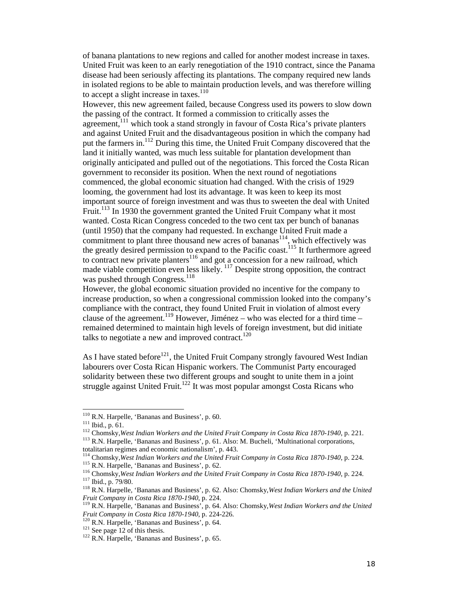of banana plantations to new regions and called for another modest increase in taxes. United Fruit was keen to an early renegotiation of the 1910 contract, since the Panama disease had been seriously affecting its plantations. The company required new lands in isolated regions to be able to maintain production levels, and was therefore willing to accept a slight increase in taxes.<sup>110</sup>

However, this new agreement failed, because Congress used its powers to slow down the passing of the contract. It formed a commission to critically asses the agreement, $111$  which took a stand strongly in favour of Costa Rica's private planters and against United Fruit and the disadvantageous position in which the company had put the farmers in.<sup>112</sup> During this time, the United Fruit Company discovered that the land it initially wanted, was much less suitable for plantation development than originally anticipated and pulled out of the negotiations. This forced the Costa Rican government to reconsider its position. When the next round of negotiations commenced, the global economic situation had changed. With the crisis of 1929 looming, the government had lost its advantage. It was keen to keep its most important source of foreign investment and was thus to sweeten the deal with United Fruit.<sup>113</sup> In 1930 the government granted the United Fruit Company what it most wanted. Costa Rican Congress conceded to the two cent tax per bunch of bananas (until 1950) that the company had requested. In exchange United Fruit made a commitment to plant three thousand new acres of bananas<sup>114</sup>, which effectively was the greatly desired permission to expand to the Pacific coast.<sup>115</sup> It furthermore agreed to contract new private planters<sup>116</sup> and got a concession for a new railroad, which made viable competition even less likely. <sup>117</sup> Despite strong opposition, the contract was pushed through Congress.<sup>118</sup>

However, the global economic situation provided no incentive for the company to increase production, so when a congressional commission looked into the company's compliance with the contract, they found United Fruit in violation of almost every clause of the agreement.<sup>119</sup> However, Jiménez – who was elected for a third time – remained determined to maintain high levels of foreign investment, but did initiate talks to negotiate a new and improved contract.<sup>120</sup>

As I have stated before<sup>121</sup>, the United Fruit Company strongly favoured West Indian labourers over Costa Rican Hispanic workers. The Communist Party encouraged solidarity between these two different groups and sought to unite them in a joint struggle against United Fruit.<sup>122</sup> It was most popular amongst Costa Ricans who

totalitarian regimes and economic nationalism', p. 443.<br><sup>114</sup> Chomsky, West Indian Workers and the United Fruit Company in Costa Rica 1870-1940, p. 224.

<sup>&</sup>lt;sup>110</sup> R.N. Harpelle, 'Bananas and Business', p. 60.

<sup>&</sup>lt;sup>111</sup> Ibid., p. 61.<br><sup>112</sup> Chomsky, *West Indian Workers and the United Fruit Company in Costa Rica 1870-1940*, p. 221.<br><sup>113</sup> R.N. Harpelle, 'Bananas and Business', p. 61. Also: M. Bucheli, 'Multinational corporations,

<sup>&</sup>lt;sup>115</sup> R.N. Harpelle, 'Bananas and Business', p. 62.<br><sup>116</sup> Chomsky, *West Indian Workers and the United Fruit Company in Costa Rica 1870-1940*, p. 224.<br><sup>117</sup> Ibid., p. 79/80.<br><sup>118</sup> R.N. Harpelle, 'Bananas and Business', p.

*Fruit Company in Costa Rica 1870-1940*, p. 224.<br><sup>119</sup> R.N. Harpelle, 'Bananas and Business', p. 64. Also: Chomsky, *West Indian Workers and the United <i>Fruit Company in Costa Rica 1870-1940*, p. 224-226.

<sup>&</sup>lt;sup>120</sup> R.N. Harpelle, 'Bananas and Business', p. 64.<br><sup>121</sup> See page 12 of this thesis. <sup>122</sup> R.N. Harpelle, 'Bananas and Business', p. 65.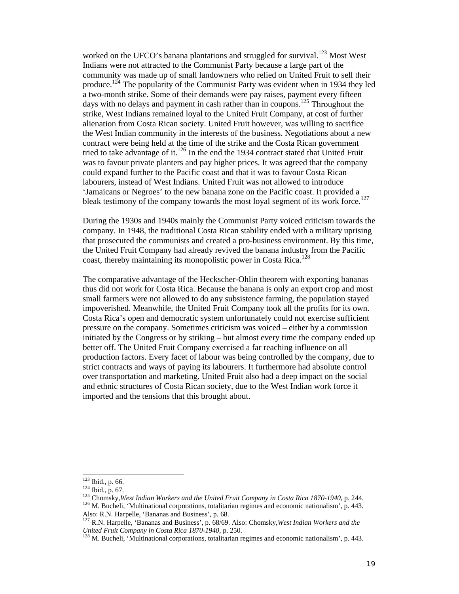worked on the UFCO's banana plantations and struggled for survival.<sup>123</sup> Most West Indians were not attracted to the Communist Party because a large part of the community was made up of small landowners who relied on United Fruit to sell their produce.<sup>124</sup> The popularity of the Communist Party was evident when in 1934 they led a two-month strike. Some of their demands were pay raises, payment every fifteen days with no delays and payment in cash rather than in coupons.<sup>125</sup> Throughout the strike, West Indians remained loyal to the United Fruit Company, at cost of further alienation from Costa Rican society. United Fruit however, was willing to sacrifice the West Indian community in the interests of the business. Negotiations about a new contract were being held at the time of the strike and the Costa Rican government tried to take advantage of it.<sup>126</sup> In the end the 1934 contract stated that United Fruit was to favour private planters and pay higher prices. It was agreed that the company could expand further to the Pacific coast and that it was to favour Costa Rican labourers, instead of West Indians. United Fruit was not allowed to introduce 'Jamaicans or Negroes' to the new banana zone on the Pacific coast. It provided a bleak testimony of the company towards the most loyal segment of its work force.<sup>127</sup>

During the 1930s and 1940s mainly the Communist Party voiced criticism towards the company. In 1948, the traditional Costa Rican stability ended with a military uprising that prosecuted the communists and created a pro-business environment. By this time, the United Fruit Company had already revived the banana industry from the Pacific coast, thereby maintaining its monopolistic power in Costa Rica.<sup>128</sup>

The comparative advantage of the Heckscher-Ohlin theorem with exporting bananas thus did not work for Costa Rica. Because the banana is only an export crop and most small farmers were not allowed to do any subsistence farming, the population stayed impoverished. Meanwhile, the United Fruit Company took all the profits for its own. Costa Rica's open and democratic system unfortunately could not exercise sufficient pressure on the company. Sometimes criticism was voiced – either by a commission initiated by the Congress or by striking – but almost every time the company ended up better off. The United Fruit Company exercised a far reaching influence on all production factors. Every facet of labour was being controlled by the company, due to strict contracts and ways of paying its labourers. It furthermore had absolute control over transportation and marketing. United Fruit also had a deep impact on the social and ethnic structures of Costa Rican society, due to the West Indian work force it imported and the tensions that this brought about.

 $123$  Ibid., p. 66.

<sup>&</sup>lt;sup>124</sup> Ibid., p. 67.<br><sup>125</sup> Chomsky, *West Indian Workers and the United Fruit Company in Costa Rica 1870-1940*, p. 244.<br><sup>126</sup> M. Bucheli, 'Multinational corporations, totalitarian regimes and economic nationalism', p. 443. Also: R.N. Harpelle, 'Bananas and Business', p. 68.

<sup>&</sup>lt;sup>127</sup> R.N. Harpelle, 'Bananas and Business', p. 68/69. Also: Chomsky, *West Indian Workers and the United Fruit Company in Costa Rica 1870-1940*, p. 250.

<sup>&</sup>lt;sup>128</sup> M. Bucheli, 'Multinational corporations, totalitarian regimes and economic nationalism', p. 443.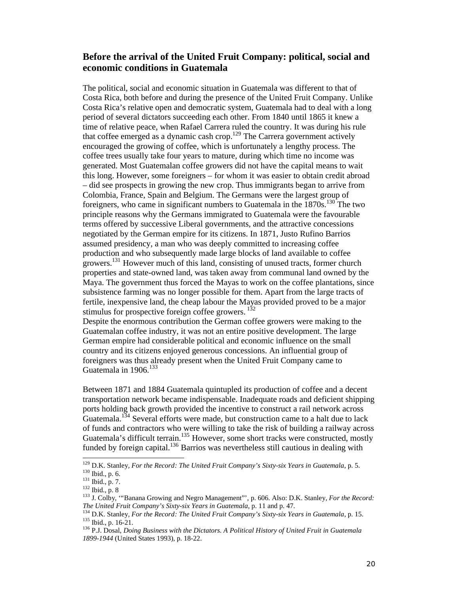## **Before the arrival of the United Fruit Company: political, social and economic conditions in Guatemala**

The political, social and economic situation in Guatemala was different to that of Costa Rica, both before and during the presence of the United Fruit Company. Unlike Costa Rica's relative open and democratic system, Guatemala had to deal with a long period of several dictators succeeding each other. From 1840 until 1865 it knew a time of relative peace, when Rafael Carrera ruled the country. It was during his rule that coffee emerged as a dynamic cash crop.<sup>129</sup> The Carrera government actively encouraged the growing of coffee, which is unfortunately a lengthy process. The coffee trees usually take four years to mature, during which time no income was generated. Most Guatemalan coffee growers did not have the capital means to wait this long. However, some foreigners – for whom it was easier to obtain credit abroad – did see prospects in growing the new crop. Thus immigrants began to arrive from Colombia, France, Spain and Belgium. The Germans were the largest group of foreigners, who came in significant numbers to Guatemala in the  $1870s$ <sup>130</sup> The two principle reasons why the Germans immigrated to Guatemala were the favourable terms offered by successive Liberal governments, and the attractive concessions negotiated by the German empire for its citizens. In 1871, Justo Rufino Barrios assumed presidency, a man who was deeply committed to increasing coffee production and who subsequently made large blocks of land available to coffee growers.<sup>131</sup> However much of this land, consisting of unused tracts, former church properties and state-owned land, was taken away from communal land owned by the Maya. The government thus forced the Mayas to work on the coffee plantations, since subsistence farming was no longer possible for them. Apart from the large tracts of fertile, inexpensive land, the cheap labour the Mayas provided proved to be a major stimulus for prospective foreign coffee growers.<sup>132</sup>

Despite the enormous contribution the German coffee growers were making to the Guatemalan coffee industry, it was not an entire positive development. The large German empire had considerable political and economic influence on the small country and its citizens enjoyed generous concessions. An influential group of foreigners was thus already present when the United Fruit Company came to Guatemala in  $1906$ <sup>133</sup>

Between 1871 and 1884 Guatemala quintupled its production of coffee and a decent transportation network became indispensable. Inadequate roads and deficient shipping ports holding back growth provided the incentive to construct a rail network across Guatemala.<sup>134</sup> Several efforts were made, but construction came to a halt due to lack of funds and contractors who were willing to take the risk of building a railway across Guatemala's difficult terrain.<sup>135</sup> However, some short tracks were constructed, mostly funded by foreign capital.<sup>136</sup> Barrios was nevertheless still cautious in dealing with

j

<sup>&</sup>lt;sup>129</sup> D.K. Stanley, For the Record: The United Fruit Company's Sixty-six Years in Guatemala, p. 5.<br><sup>130</sup> Ibid., p. 6.<br><sup>131</sup> Ibid., p. 7.<br><sup>132</sup> Ibid., p. 8<br><sup>132</sup> J. Colby, "Banana Growing and Negro Management", p. 606. Als

The United Fruit Company's Sixty-six Years in Guatemala, p. 11 and p. 47.<br><sup>134</sup> D.K. Stanley, *For the Record: The United Fruit Company's Sixty-six Years in Guatemala*, p. 15.<br><sup>135</sup> Ibid., p. 16-21.<br><sup>136</sup> P.J. Dosal, *Doin* 

*<sup>1899-1944</sup>* (United States 1993), p. 18-22.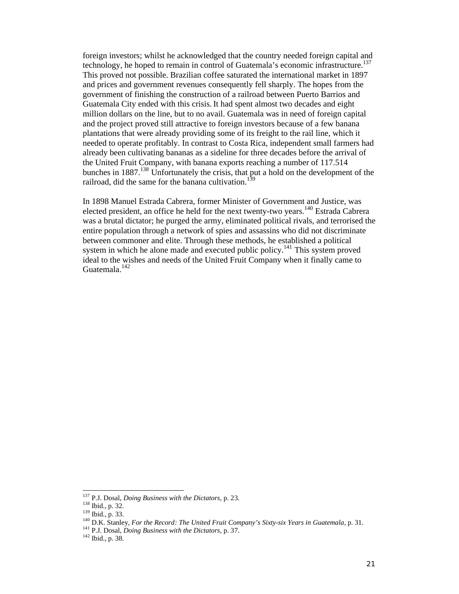foreign investors; whilst he acknowledged that the country needed foreign capital and technology, he hoped to remain in control of Guatemala's economic infrastructure.<sup>137</sup> This proved not possible. Brazilian coffee saturated the international market in 1897 and prices and government revenues consequently fell sharply. The hopes from the government of finishing the construction of a railroad between Puerto Barrios and Guatemala City ended with this crisis. It had spent almost two decades and eight million dollars on the line, but to no avail. Guatemala was in need of foreign capital and the project proved still attractive to foreign investors because of a few banana plantations that were already providing some of its freight to the rail line, which it needed to operate profitably. In contrast to Costa Rica, independent small farmers had already been cultivating bananas as a sideline for three decades before the arrival of the United Fruit Company, with banana exports reaching a number of 117.514 bunches in 1887.<sup>138</sup> Unfortunately the crisis, that put a hold on the development of the railroad, did the same for the banana cultivation.<sup>139</sup>

In 1898 Manuel Estrada Cabrera, former Minister of Government and Justice, was elected president, an office he held for the next twenty-two years.<sup>140</sup> Estrada Cabrera was a brutal dictator; he purged the army, eliminated political rivals, and terrorised the entire population through a network of spies and assassins who did not discriminate between commoner and elite. Through these methods, he established a political system in which he alone made and executed public policy.<sup>141</sup> This system proved ideal to the wishes and needs of the United Fruit Company when it finally came to Guatemala.<sup>142</sup>

 $137$  P.J. Dosal, *Doing Business with the Dictators*, p. 23.

<sup>&</sup>lt;sup>138</sup> Ibid., p. 32.<br>
<sup>139</sup> Ibid., p. 33.<br>
<sup>140</sup> D.K. Stanley, *For the Record: The United Fruit Company's Sixty-six Years in Guatemala*, p. 31.<br>
<sup>141</sup> P.J. Dosal, *Doing Business with the Dictators*, p. 37.<br>
<sup>142</sup> Ibid.,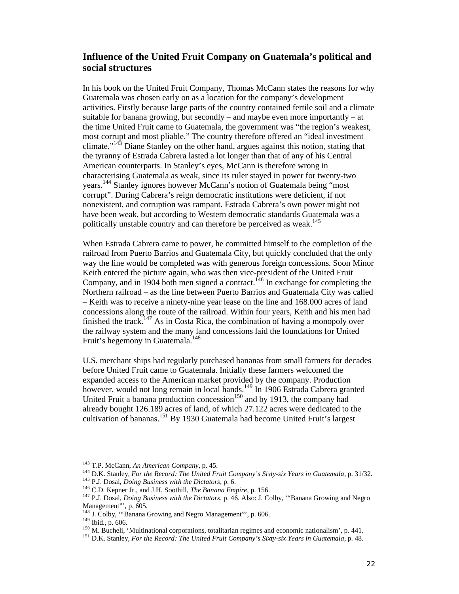## **Influence of the United Fruit Company on Guatemala's political and social structures**

In his book on the United Fruit Company, Thomas McCann states the reasons for why Guatemala was chosen early on as a location for the company's development activities. Firstly because large parts of the country contained fertile soil and a climate suitable for banana growing, but secondly – and maybe even more importantly – at the time United Fruit came to Guatemala, the government was "the region's weakest, most corrupt and most pliable." The country therefore offered an "ideal investment climate."<sup>143</sup> Diane Stanley on the other hand, argues against this notion, stating that the tyranny of Estrada Cabrera lasted a lot longer than that of any of his Central American counterparts. In Stanley's eyes, McCann is therefore wrong in characterising Guatemala as weak, since its ruler stayed in power for twenty-two years.<sup>144</sup> Stanley ignores however McCann's notion of Guatemala being "most corrupt". During Cabrera's reign democratic institutions were deficient, if not nonexistent, and corruption was rampant. Estrada Cabrera's own power might not have been weak, but according to Western democratic standards Guatemala was a politically unstable country and can therefore be perceived as weak.<sup>145</sup>

When Estrada Cabrera came to power, he committed himself to the completion of the railroad from Puerto Barrios and Guatemala City, but quickly concluded that the only way the line would be completed was with generous foreign concessions. Soon Minor Keith entered the picture again, who was then vice-president of the United Fruit Company, and in  $1904$  both men signed a contract.<sup>146</sup> In exchange for completing the Northern railroad – as the line between Puerto Barrios and Guatemala City was called – Keith was to receive a ninety-nine year lease on the line and 168.000 acres of land concessions along the route of the railroad. Within four years, Keith and his men had finished the track.<sup>147</sup> As in Costa Rica, the combination of having a monopoly over the railway system and the many land concessions laid the foundations for United Fruit's hegemony in Guatemala.<sup>148</sup>

U.S. merchant ships had regularly purchased bananas from small farmers for decades before United Fruit came to Guatemala. Initially these farmers welcomed the expanded access to the American market provided by the company. Production however, would not long remain in local hands.<sup>149</sup> In 1906 Estrada Cabrera granted United Fruit a banana production concession $150$  and by 1913, the company had already bought 126.189 acres of land, of which 27.122 acres were dedicated to the cultivation of bananas.<sup>151</sup> By 1930 Guatemala had become United Fruit's largest

<sup>&</sup>lt;sup>143</sup> T.P. McCann, An American Company, p. 45.

<sup>&</sup>lt;sup>144</sup> D.K. Stanley, For the Record: The United Fruit Company's Sixty-six Years in Guatemala, p. 31/32.<br><sup>145</sup> P.J. Dosal, *Doing Business with the Dictators*, p. 6.<br><sup>146</sup> C.D. Kepner Jr., and J.H. Soothill, *The Banana Emp* 

Management"', p. 605.<br><sup>148</sup> J. Colby, ""Banana Growing and Negro Management"', p. 606.

<sup>&</sup>lt;sup>149</sup> Ibid., p. 606.<br><sup>150</sup> M. Bucheli, 'Multinational corporations, totalitarian regimes and economic nationalism', p. 441.<br><sup>151</sup> D.K. Stanley, *For the Record: The United Fruit Company's Sixty-six Years in Guatemala*, p.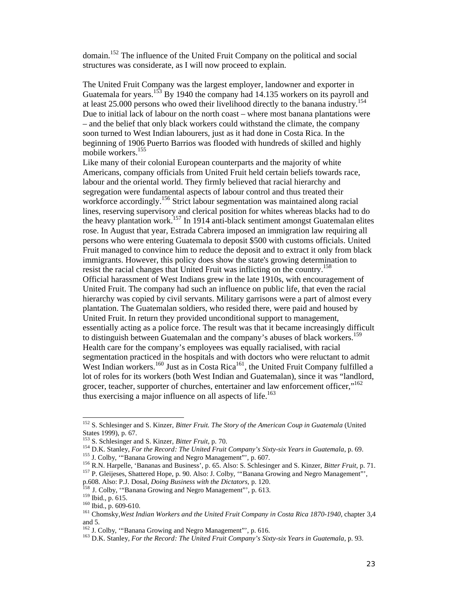domain.<sup>152</sup> The influence of the United Fruit Company on the political and social structures was considerate, as I will now proceed to explain.

The United Fruit Company was the largest employer, landowner and exporter in Guatemala for years.<sup>153</sup> By 1940 the company had 14.135 workers on its payroll and at least 25.000 persons who owed their livelihood directly to the banana industry.<sup>154</sup> Due to initial lack of labour on the north coast – where most banana plantations were – and the belief that only black workers could withstand the climate, the company soon turned to West Indian labourers, just as it had done in Costa Rica. In the beginning of 1906 Puerto Barrios was flooded with hundreds of skilled and highly mobile workers.<sup>155</sup>

Like many of their colonial European counterparts and the majority of white Americans, company officials from United Fruit held certain beliefs towards race, labour and the oriental world. They firmly believed that racial hierarchy and segregation were fundamental aspects of labour control and thus treated their workforce accordingly.<sup>156</sup> Strict labour segmentation was maintained along racial lines, reserving supervisory and clerical position for whites whereas blacks had to do the heavy plantation work.<sup>157</sup> In 1914 anti-black sentiment amongst Guatemalan elites rose. In August that year, Estrada Cabrera imposed an immigration law requiring all persons who were entering Guatemala to deposit \$500 with customs officials. United Fruit managed to convince him to reduce the deposit and to extract it only from black immigrants. However, this policy does show the state's growing determination to resist the racial changes that United Fruit was inflicting on the country.<sup>158</sup> Official harassment of West Indians grew in the late 1910s, with encouragement of United Fruit. The company had such an influence on public life, that even the racial hierarchy was copied by civil servants. Military garrisons were a part of almost every plantation. The Guatemalan soldiers, who resided there, were paid and housed by United Fruit. In return they provided unconditional support to management, essentially acting as a police force. The result was that it became increasingly difficult to distinguish between Guatemalan and the company's abuses of black workers.<sup>159</sup> Health care for the company's employees was equally racialised, with racial segmentation practiced in the hospitals and with doctors who were reluctant to admit West Indian workers.<sup>160</sup> Just as in Costa Rica<sup>161</sup>, the United Fruit Company fulfilled a lot of roles for its workers (both West Indian and Guatemalan), since it was "landlord, grocer, teacher, supporter of churches, entertainer and law enforcement officer,"<sup>162</sup> thus exercising a major influence on all aspects of life.<sup>163</sup>

j

<sup>152</sup> S. Schlesinger and S. Kinzer, *Bitter Fruit. The Story of the American Coup in Guatemala* (United States 1999), p. 67.<br><sup>153</sup> S. Schlesinger and S. Kinzer, *Bitter Fruit*, p. 70.

<sup>&</sup>lt;sup>154</sup> D.K. Stanley, *For the Record: The United Fruit Company's Sixty-six Years in Guatemala*, p. 69.<br><sup>155</sup> J. Colby, "Banana Growing and Negro Management"', p. 607.<br><sup>156</sup> R.N. Harpelle, 'Bananas and Business', p. 65. Als

<sup>&</sup>lt;sup>158</sup> J. Colby, "Banana Growing and Negro Management"', p. 613.<br><sup>159</sup> Ibid., p. 615.<br><sup>160</sup> Ibid., p. 609-610.<br><sup>161</sup> Chomsky, West Indian Workers and the United Fruit Company in Costa Rica 1870-1940, chapter 3,4

and 5.<br><sup>162</sup> J. Colby, "Banana Growing and Negro Management"', p. 616.

<sup>&</sup>lt;sup>163</sup> D.K. Stanley, For the Record: The United Fruit Company's Sixty-six Years in Guatemala, p. 93.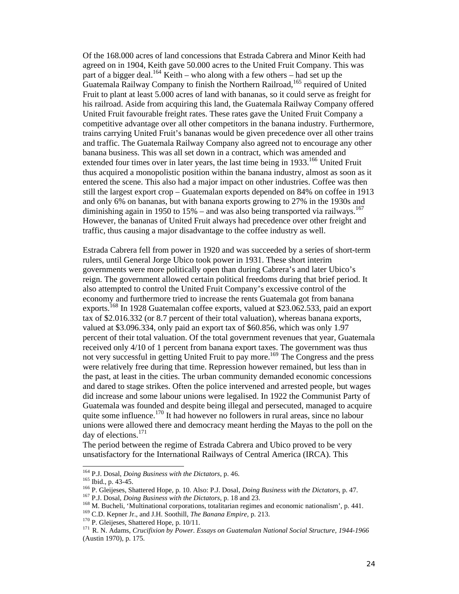Of the 168.000 acres of land concessions that Estrada Cabrera and Minor Keith had agreed on in 1904, Keith gave 50.000 acres to the United Fruit Company. This was part of a bigger deal.<sup>164</sup> Keith – who along with a few others – had set up the Guatemala Railway Company to finish the Northern Railroad,<sup>165</sup> required of United Fruit to plant at least 5.000 acres of land with bananas, so it could serve as freight for his railroad. Aside from acquiring this land, the Guatemala Railway Company offered United Fruit favourable freight rates. These rates gave the United Fruit Company a competitive advantage over all other competitors in the banana industry. Furthermore, trains carrying United Fruit's bananas would be given precedence over all other trains and traffic. The Guatemala Railway Company also agreed not to encourage any other banana business. This was all set down in a contract, which was amended and extended four times over in later years, the last time being in  $1933$ <sup>166</sup> United Fruit thus acquired a monopolistic position within the banana industry, almost as soon as it entered the scene. This also had a major impact on other industries. Coffee was then still the largest export crop – Guatemalan exports depended on 84% on coffee in 1913 and only 6% on bananas, but with banana exports growing to 27% in the 1930s and diminishing again in 1950 to 15% – and was also being transported via railways.<sup>167</sup> However, the bananas of United Fruit always had precedence over other freight and traffic, thus causing a major disadvantage to the coffee industry as well.

Estrada Cabrera fell from power in 1920 and was succeeded by a series of short-term rulers, until General Jorge Ubico took power in 1931. These short interim governments were more politically open than during Cabrera's and later Ubico's reign. The government allowed certain political freedoms during that brief period. It also attempted to control the United Fruit Company's excessive control of the economy and furthermore tried to increase the rents Guatemala got from banana exports.<sup>168</sup> In 1928 Guatemalan coffee exports, valued at \$23.062.533, paid an export tax of \$2.016.332 (or 8.7 percent of their total valuation), whereas banana exports, valued at \$3.096.334, only paid an export tax of \$60.856, which was only 1.97 percent of their total valuation. Of the total government revenues that year, Guatemala received only 4/10 of 1 percent from banana export taxes. The government was thus not very successful in getting United Fruit to pay more.<sup>169</sup> The Congress and the press were relatively free during that time. Repression however remained, but less than in the past, at least in the cities. The urban community demanded economic concessions and dared to stage strikes. Often the police intervened and arrested people, but wages did increase and some labour unions were legalised. In 1922 the Communist Party of Guatemala was founded and despite being illegal and persecuted, managed to acquire quite some influence.<sup>170</sup> It had however no followers in rural areas, since no labour unions were allowed there and democracy meant herding the Mayas to the poll on the day of elections.<sup>171</sup>

The period between the regime of Estrada Cabrera and Ubico proved to be very unsatisfactory for the International Railways of Central America (IRCA). This

<sup>&</sup>lt;sup>164</sup> P.J. Dosal, *Doing Business with the Dictators*, p. 46.

<sup>&</sup>lt;sup>165</sup> Ibid., p. 43-45.<br><sup>166</sup> P. Gleijeses, Shattered Hope, p. 10. Also: P.J. Dosal, *Doing Business with the Dictators*, p. 47.<br><sup>167</sup> P.J. Dosal, *Doing Business with the Dictators*, p. 18 and 23.<br><sup>168</sup> M. Bucheli, 'Multi

<sup>(</sup>Austin 1970), p. 175.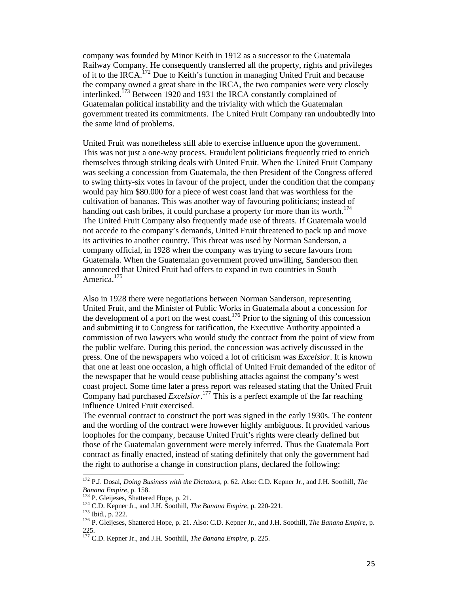company was founded by Minor Keith in 1912 as a successor to the Guatemala Railway Company. He consequently transferred all the property, rights and privileges of it to the IRCA.<sup>172</sup> Due to Keith's function in managing United Fruit and because the company owned a great share in the IRCA, the two companies were very closely interlinked.<sup>173</sup> Between 1920 and 1931 the IRCA constantly complained of Guatemalan political instability and the triviality with which the Guatemalan government treated its commitments. The United Fruit Company ran undoubtedly into the same kind of problems.

United Fruit was nonetheless still able to exercise influence upon the government. This was not just a one-way process. Fraudulent politicians frequently tried to enrich themselves through striking deals with United Fruit. When the United Fruit Company was seeking a concession from Guatemala, the then President of the Congress offered to swing thirty-six votes in favour of the project, under the condition that the company would pay him \$80.000 for a piece of west coast land that was worthless for the cultivation of bananas. This was another way of favouring politicians; instead of handing out cash bribes, it could purchase a property for more than its worth.<sup>174</sup> The United Fruit Company also frequently made use of threats. If Guatemala would not accede to the company's demands, United Fruit threatened to pack up and move its activities to another country. This threat was used by Norman Sanderson, a company official, in 1928 when the company was trying to secure favours from Guatemala. When the Guatemalan government proved unwilling, Sanderson then announced that United Fruit had offers to expand in two countries in South America.<sup>175</sup>

Also in 1928 there were negotiations between Norman Sanderson, representing United Fruit, and the Minister of Public Works in Guatemala about a concession for the development of a port on the west coast.<sup>176</sup> Prior to the signing of this concession and submitting it to Congress for ratification, the Executive Authority appointed a commission of two lawyers who would study the contract from the point of view from the public welfare. During this period, the concession was actively discussed in the press. One of the newspapers who voiced a lot of criticism was *Excelsior*. It is known that one at least one occasion, a high official of United Fruit demanded of the editor of the newspaper that he would cease publishing attacks against the company's west coast project. Some time later a press report was released stating that the United Fruit Company had purchased *Excelsior*. <sup>177</sup> This is a perfect example of the far reaching influence United Fruit exercised.

The eventual contract to construct the port was signed in the early 1930s. The content and the wording of the contract were however highly ambiguous. It provided various loopholes for the company, because United Fruit's rights were clearly defined but those of the Guatemalan government were merely inferred. Thus the Guatemala Port contract as finally enacted, instead of stating definitely that only the government had the right to authorise a change in construction plans, declared the following:

 $\overline{a}$ 

<sup>172</sup> P.J. Dosal, *Doing Business with the Dictators,* p. 62. Also: C.D. Kepner Jr., and J.H. Soothill, *The*  Banana Empire, p. 158.<br>
<sup>173</sup> P. Gleijeses, Shattered Hope, p. 21.<br>
<sup>174</sup> C.D. Kepner Jr., and J.H. Soothill, *The Banana Empire*, p. 220-221.<br>
<sup>175</sup> Ibid., p. 222.<br>
<sup>176</sup> P. Gleijeses, Shattered Hope, p. 21. Also: C.D. Ke

<sup>225.</sup>

<sup>177</sup> C.D. Kepner Jr., and J.H. Soothill, *The Banana Empire,* p. 225.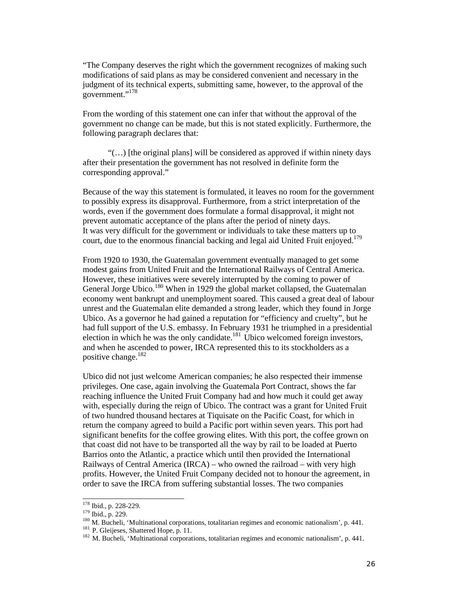"The Company deserves the right which the government recognizes of making such modifications of said plans as may be considered convenient and necessary in the judgment of its technical experts, submitting same, however, to the approval of the government."<sup>178</sup>

From the wording of this statement one can infer that without the approval of the government no change can be made, but this is not stated explicitly. Furthermore, the following paragraph declares that:

"(…) [the original plans] will be considered as approved if within ninety days after their presentation the government has not resolved in definite form the corresponding approval."

Because of the way this statement is formulated, it leaves no room for the government to possibly express its disapproval. Furthermore, from a strict interpretation of the words, even if the government does formulate a formal disapproval, it might not prevent automatic acceptance of the plans after the period of ninety days. It was very difficult for the government or individuals to take these matters up to court, due to the enormous financial backing and legal aid United Fruit enjoyed.<sup>179</sup>

From 1920 to 1930, the Guatemalan government eventually managed to get some modest gains from United Fruit and the International Railways of Central America. However, these initiatives were severely interrupted by the coming to power of General Jorge Ubico.<sup>180</sup> When in 1929 the global market collapsed, the Guatemalan economy went bankrupt and unemployment soared. This caused a great deal of labour unrest and the Guatemalan elite demanded a strong leader, which they found in Jorge Ubico. As a governor he had gained a reputation for "efficiency and cruelty", but he had full support of the U.S. embassy. In February 1931 he triumphed in a presidential election in which he was the only candidate.<sup>181</sup> Ubico welcomed foreign investors, and when he ascended to power, IRCA represented this to its stockholders as a positive change.<sup>182</sup>

Ubico did not just welcome American companies; he also respected their immense privileges. One case, again involving the Guatemala Port Contract, shows the far reaching influence the United Fruit Company had and how much it could get away with, especially during the reign of Ubico. The contract was a grant for United Fruit of two hundred thousand hectares at Tiquisate on the Pacific Coast, for which in return the company agreed to build a Pacific port within seven years. This port had significant benefits for the coffee growing elites. With this port, the coffee grown on that coast did not have to be transported all the way by rail to be loaded at Puerto Barrios onto the Atlantic, a practice which until then provided the International Railways of Central America (IRCA) – who owned the railroad – with very high profits. However, the United Fruit Company decided not to honour the agreement, in order to save the IRCA from suffering substantial losses. The two companies

<sup>&</sup>lt;sup>178</sup> Ibid., p. 228-229.

<sup>&</sup>lt;sup>179</sup> Ibid., p. 229.<br><sup>180</sup> M. Bucheli, 'Multinational corporations, totalitarian regimes and economic nationalism', p. 441.<br><sup>181</sup> P. Gleijeses, Shattered Hope, p. 11.<br><sup>181</sup> M. Bucheli, 'Multinational corporations, totalit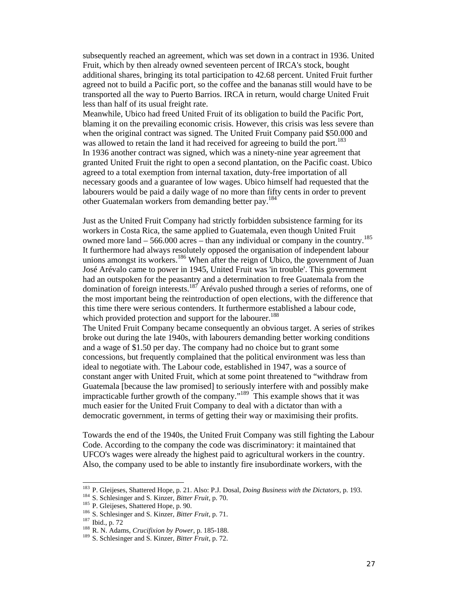subsequently reached an agreement, which was set down in a contract in 1936. United Fruit, which by then already owned seventeen percent of IRCA's stock, bought additional shares, bringing its total participation to 42.68 percent. United Fruit further agreed not to build a Pacific port, so the coffee and the bananas still would have to be transported all the way to Puerto Barrios. IRCA in return, would charge United Fruit less than half of its usual freight rate.

Meanwhile, Ubico had freed United Fruit of its obligation to build the Pacific Port, blaming it on the prevailing economic crisis. However, this crisis was less severe than when the original contract was signed. The United Fruit Company paid \$50.000 and was allowed to retain the land it had received for agreeing to build the port.<sup>183</sup> In 1936 another contract was signed, which was a ninety-nine year agreement that granted United Fruit the right to open a second plantation, on the Pacific coast. Ubico agreed to a total exemption from internal taxation, duty-free importation of all necessary goods and a guarantee of low wages. Ubico himself had requested that the labourers would be paid a daily wage of no more than fifty cents in order to prevent other Guatemalan workers from demanding better pay.<sup>184</sup>

Just as the United Fruit Company had strictly forbidden subsistence farming for its workers in Costa Rica, the same applied to Guatemala, even though United Fruit owned more land – 566.000 acres – than any individual or company in the country.<sup>185</sup> It furthermore had always resolutely opposed the organisation of independent labour unions amongst its workers.<sup>186</sup> When after the reign of Ubico, the government of Juan José Arévalo came to power in 1945, United Fruit was 'in trouble'. This government had an outspoken for the peasantry and a determination to free Guatemala from the domination of foreign interests.<sup>187</sup> Arévalo pushed through a series of reforms, one of the most important being the reintroduction of open elections, with the difference that this time there were serious contenders. It furthermore established a labour code, which provided protection and support for the labourer.<sup>188</sup>

The United Fruit Company became consequently an obvious target. A series of strikes broke out during the late 1940s, with labourers demanding better working conditions and a wage of \$1.50 per day. The company had no choice but to grant some concessions, but frequently complained that the political environment was less than ideal to negotiate with. The Labour code, established in 1947, was a source of constant anger with United Fruit, which at some point threatened to "withdraw from Guatemala [because the law promised] to seriously interfere with and possibly make impracticable further growth of the company."189 This example shows that it was much easier for the United Fruit Company to deal with a dictator than with a democratic government, in terms of getting their way or maximising their profits.

Towards the end of the 1940s, the United Fruit Company was still fighting the Labour Code. According to the company the code was discriminatory: it maintained that UFCO's wages were already the highest paid to agricultural workers in the country. Also, the company used to be able to instantly fire insubordinate workers, with the

j

<sup>&</sup>lt;sup>183</sup> P. Gleijeses, Shattered Hope, p. 21. Also: P.J. Dosal, *Doing Business with the Dictators*, p. 193.<br><sup>184</sup> S. Schlesinger and S. Kinzer, *Bitter Fruit*, p. 70.<br><sup>185</sup> P. Gleijeses, Shattered Hope, p. 90.<br><sup>186</sup> S. Schl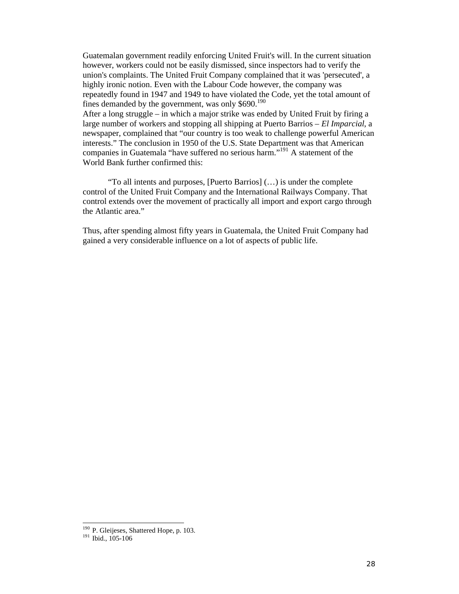Guatemalan government readily enforcing United Fruit's will. In the current situation however, workers could not be easily dismissed, since inspectors had to verify the union's complaints. The United Fruit Company complained that it was 'persecuted', a highly ironic notion. Even with the Labour Code however, the company was repeatedly found in 1947 and 1949 to have violated the Code, yet the total amount of fines demanded by the government, was only  $$690.<sup>190</sup>$ After a long struggle – in which a major strike was ended by United Fruit by firing a large number of workers and stopping all shipping at Puerto Barrios – *El Imparcial*, a newspaper, complained that "our country is too weak to challenge powerful American interests." The conclusion in 1950 of the U.S. State Department was that American companies in Guatemala "have suffered no serious harm."<sup>191</sup> A statement of the World Bank further confirmed this:

"To all intents and purposes, [Puerto Barrios] (…) is under the complete control of the United Fruit Company and the International Railways Company. That control extends over the movement of practically all import and export cargo through the Atlantic area."

Thus, after spending almost fifty years in Guatemala, the United Fruit Company had gained a very considerable influence on a lot of aspects of public life.

 $\overline{a}$ 

 $190$  P. Gleijeses, Shattered Hope, p. 103.<br> $191$  Ibid., 105-106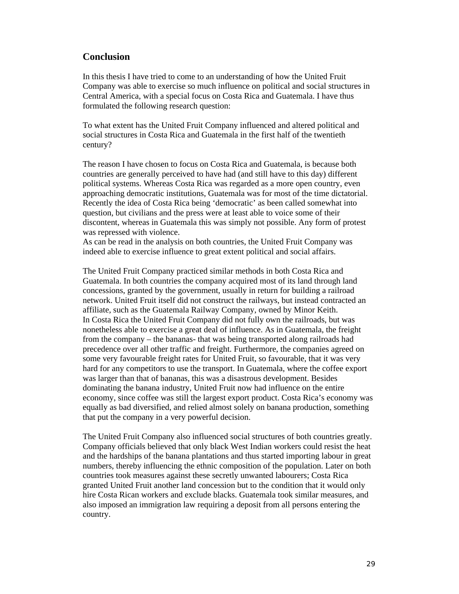### **Conclusion**

In this thesis I have tried to come to an understanding of how the United Fruit Company was able to exercise so much influence on political and social structures in Central America, with a special focus on Costa Rica and Guatemala. I have thus formulated the following research question:

To what extent has the United Fruit Company influenced and altered political and social structures in Costa Rica and Guatemala in the first half of the twentieth century?

The reason I have chosen to focus on Costa Rica and Guatemala, is because both countries are generally perceived to have had (and still have to this day) different political systems. Whereas Costa Rica was regarded as a more open country, even approaching democratic institutions, Guatemala was for most of the time dictatorial. Recently the idea of Costa Rica being 'democratic' as been called somewhat into question, but civilians and the press were at least able to voice some of their discontent, whereas in Guatemala this was simply not possible. Any form of protest was repressed with violence.

As can be read in the analysis on both countries, the United Fruit Company was indeed able to exercise influence to great extent political and social affairs.

The United Fruit Company practiced similar methods in both Costa Rica and Guatemala. In both countries the company acquired most of its land through land concessions, granted by the government, usually in return for building a railroad network. United Fruit itself did not construct the railways, but instead contracted an affiliate, such as the Guatemala Railway Company, owned by Minor Keith. In Costa Rica the United Fruit Company did not fully own the railroads, but was nonetheless able to exercise a great deal of influence. As in Guatemala, the freight from the company – the bananas- that was being transported along railroads had precedence over all other traffic and freight. Furthermore, the companies agreed on some very favourable freight rates for United Fruit, so favourable, that it was very hard for any competitors to use the transport. In Guatemala, where the coffee export was larger than that of bananas, this was a disastrous development. Besides dominating the banana industry, United Fruit now had influence on the entire economy, since coffee was still the largest export product. Costa Rica's economy was equally as bad diversified, and relied almost solely on banana production, something that put the company in a very powerful decision.

The United Fruit Company also influenced social structures of both countries greatly. Company officials believed that only black West Indian workers could resist the heat and the hardships of the banana plantations and thus started importing labour in great numbers, thereby influencing the ethnic composition of the population. Later on both countries took measures against these secretly unwanted labourers; Costa Rica granted United Fruit another land concession but to the condition that it would only hire Costa Rican workers and exclude blacks. Guatemala took similar measures, and also imposed an immigration law requiring a deposit from all persons entering the country.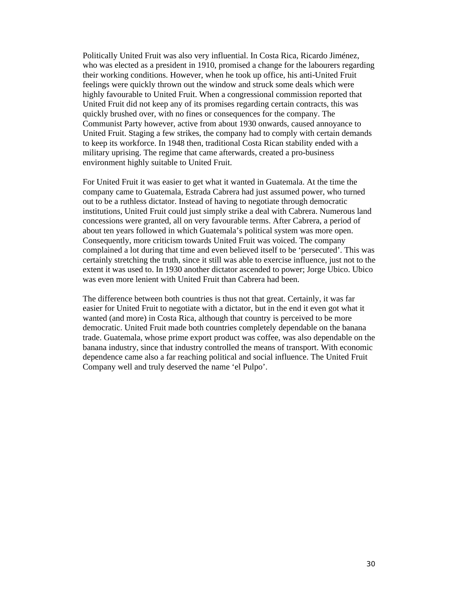Politically United Fruit was also very influential. In Costa Rica, Ricardo Jiménez, who was elected as a president in 1910, promised a change for the labourers regarding their working conditions. However, when he took up office, his anti-United Fruit feelings were quickly thrown out the window and struck some deals which were highly favourable to United Fruit. When a congressional commission reported that United Fruit did not keep any of its promises regarding certain contracts, this was quickly brushed over, with no fines or consequences for the company. The Communist Party however, active from about 1930 onwards, caused annoyance to United Fruit. Staging a few strikes, the company had to comply with certain demands to keep its workforce. In 1948 then, traditional Costa Rican stability ended with a military uprising. The regime that came afterwards, created a pro-business environment highly suitable to United Fruit.

For United Fruit it was easier to get what it wanted in Guatemala. At the time the company came to Guatemala, Estrada Cabrera had just assumed power, who turned out to be a ruthless dictator. Instead of having to negotiate through democratic institutions, United Fruit could just simply strike a deal with Cabrera. Numerous land concessions were granted, all on very favourable terms. After Cabrera, a period of about ten years followed in which Guatemala's political system was more open. Consequently, more criticism towards United Fruit was voiced. The company complained a lot during that time and even believed itself to be 'persecuted'. This was certainly stretching the truth, since it still was able to exercise influence, just not to the extent it was used to. In 1930 another dictator ascended to power; Jorge Ubico. Ubico was even more lenient with United Fruit than Cabrera had been.

The difference between both countries is thus not that great. Certainly, it was far easier for United Fruit to negotiate with a dictator, but in the end it even got what it wanted (and more) in Costa Rica, although that country is perceived to be more democratic. United Fruit made both countries completely dependable on the banana trade. Guatemala, whose prime export product was coffee, was also dependable on the banana industry, since that industry controlled the means of transport. With economic dependence came also a far reaching political and social influence. The United Fruit Company well and truly deserved the name 'el Pulpo'.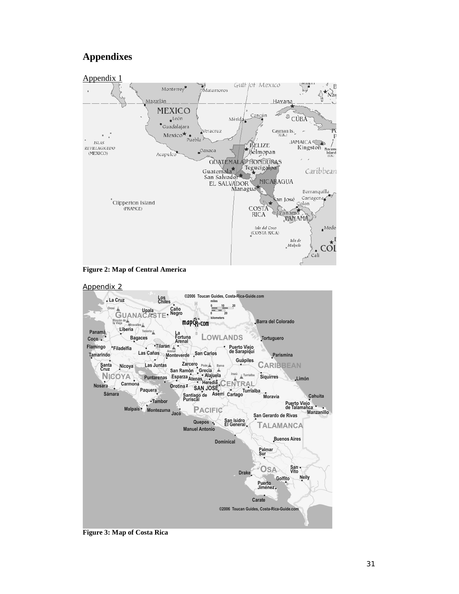# **Appendixes**







**Figure 3: Map of Costa Rica**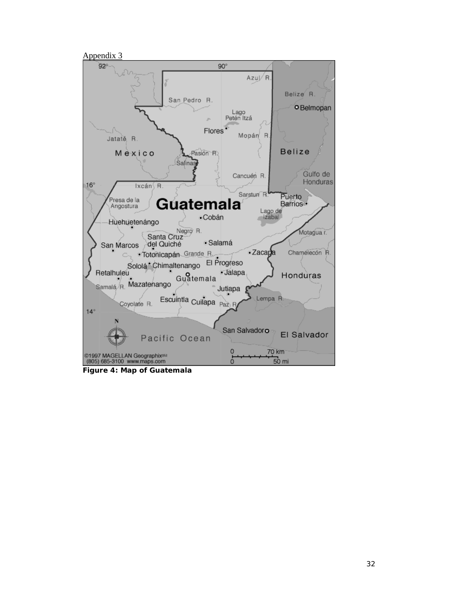

**Figure 4: Map of Guatemala**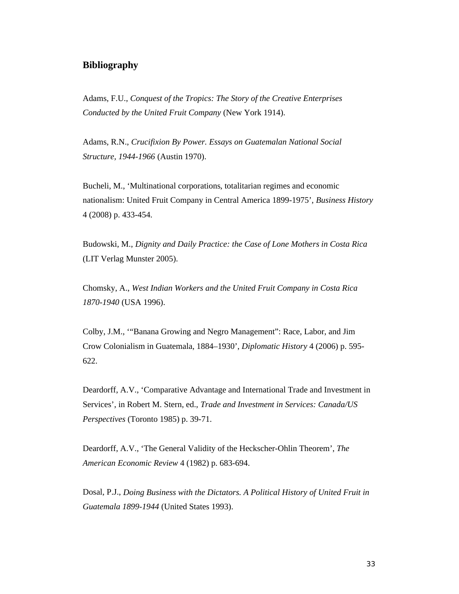#### **Bibliography**

Adams, F.U., *Conquest of the Tropics: The Story of the Creative Enterprises Conducted by the United Fruit Company* (New York 1914).

Adams, R.N., *Crucifixion By Power. Essays on Guatemalan National Social Structure, 1944-1966* (Austin 1970).

Bucheli, M., 'Multinational corporations, totalitarian regimes and economic nationalism: United Fruit Company in Central America 1899-1975', *Business History*  4 (2008) p. 433-454.

Budowski, M., *Dignity and Daily Practice: the Case of Lone Mothers in Costa Rica*  (LIT Verlag Munster 2005).

Chomsky, A., *West Indian Workers and the United Fruit Company in Costa Rica 1870-1940* (USA 1996).

Colby, J.M., '"Banana Growing and Negro Management": Race, Labor, and Jim Crow Colonialism in Guatemala, 1884–1930', *Diplomatic History* 4 (2006) p. 595- 622.

Deardorff, A.V., 'Comparative Advantage and International Trade and Investment in Services', in Robert M. Stern, ed., *Trade and Investment in Services: Canada/US Perspectives* (Toronto 1985) p. 39-71.

Deardorff, A.V., 'The General Validity of the Heckscher-Ohlin Theorem', *The American Economic Review* 4 (1982) p. 683-694.

Dosal, P.J., *Doing Business with the Dictators. A Political History of United Fruit in Guatemala 1899-1944* (United States 1993).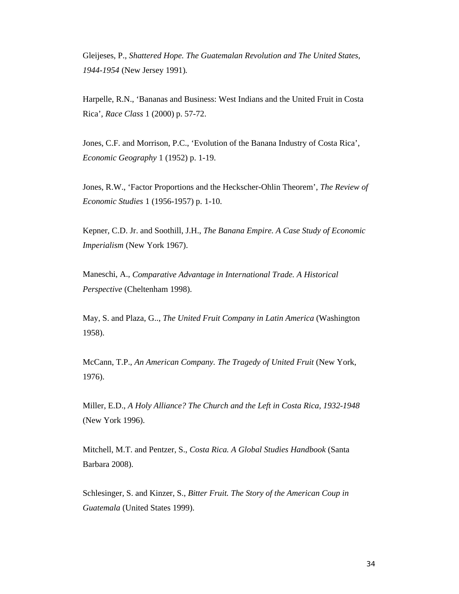Gleijeses, P., *Shattered Hope. The Guatemalan Revolution and The United States, 1944-1954* (New Jersey 1991).

Harpelle, R.N., 'Bananas and Business: West Indians and the United Fruit in Costa Rica', *Race Class* 1 (2000) p. 57-72.

Jones, C.F. and Morrison, P.C., 'Evolution of the Banana Industry of Costa Rica', *Economic Geography* 1 (1952) p. 1-19.

Jones, R.W., 'Factor Proportions and the Heckscher-Ohlin Theorem', *The Review of Economic Studies* 1 (1956-1957) p. 1-10.

Kepner, C.D. Jr. and Soothill, J.H., *The Banana Empire. A Case Study of Economic Imperialism* (New York 1967).

Maneschi, A., *Comparative Advantage in International Trade. A Historical Perspective* (Cheltenham 1998).

May, S. and Plaza, G.., *The United Fruit Company in Latin America* (Washington 1958).

McCann, T.P., *An American Company. The Tragedy of United Fruit* (New York, 1976).

Miller, E.D., *A Holy Alliance? The Church and the Left in Costa Rica, 1932-1948* (New York 1996).

Mitchell, M.T. and Pentzer, S., *Costa Rica. A Global Studies Handbook* (Santa Barbara 2008).

Schlesinger, S. and Kinzer, S., *Bitter Fruit. The Story of the American Coup in Guatemala* (United States 1999).